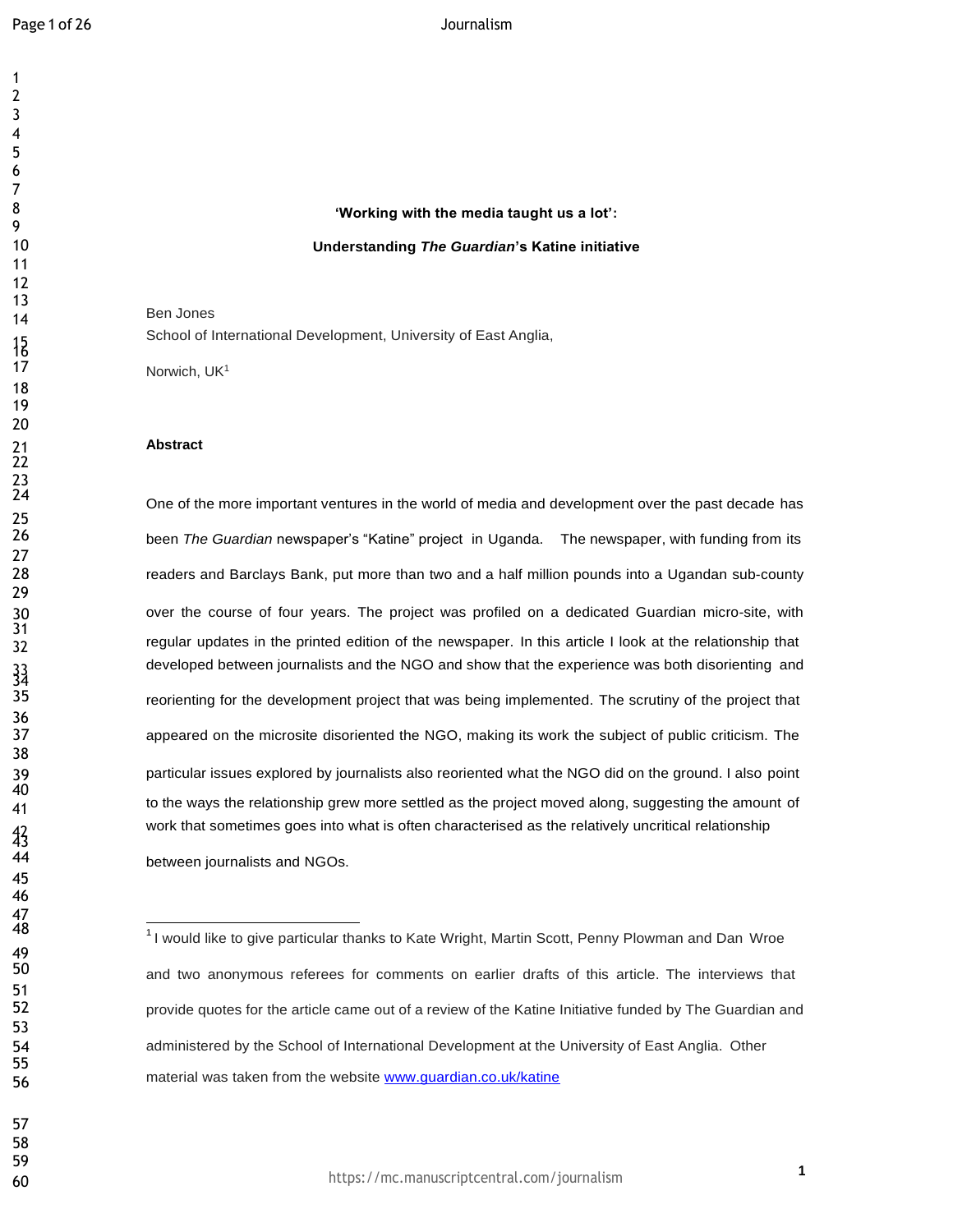$\frac{15}{17}$ 

 

 23<br>24

25<br>26

 $\frac{33}{35}$ 

 47<br>48

49<br>50

# **'Working with the media taught us a lot': Understanding** *The Guardian***'s Katine initiative**

 Ben Jones School of International Development, University of East Anglia,

Norwich, UK<sup>1</sup>

## **Abstract**

One of the more important ventures in the world of media and development over the past decade has been *The Guardian* newspaper's "Katine" project in Uganda. The newspaper, with funding from its readers and Barclays Bank, put more than two and a half million pounds into a Ugandan sub-county over the course of four years. The project was profiled on a dedicated Guardian micro-site, with regular updates in the printed edition of the newspaper. In this article I look at the relationship that developed between journalists and the NGO and show that the experience was both disorienting and reorienting for the development project that was being implemented. The scrutiny of the project that appeared on the microsite disoriented the NGO, making its work the subject of public criticism. The particular issues explored by journalists also reoriented what the NGO did on the ground. I also point to the ways the relationship grew more settled as the project moved along, suggesting the amount of work that sometimes goes into what is often characterised as the relatively uncritical relationship between journalists and NGOs.

 

 $<sup>1</sup>$ I would like to give particular thanks to Kate Wright, Martin Scott, Penny Plowman and Dan Wroe</sup> and two anonymous referees for comments on earlier drafts of this article. The interviews that 52 provide quotes for the article came out of a review of the Katine Initiative funded by The Guardian and administered by the School of International Development at the University of East Anglia. Other 56 material was taken from the website **[www.guardian.co.uk/katine](http://www.guardian.co.uk/katine)**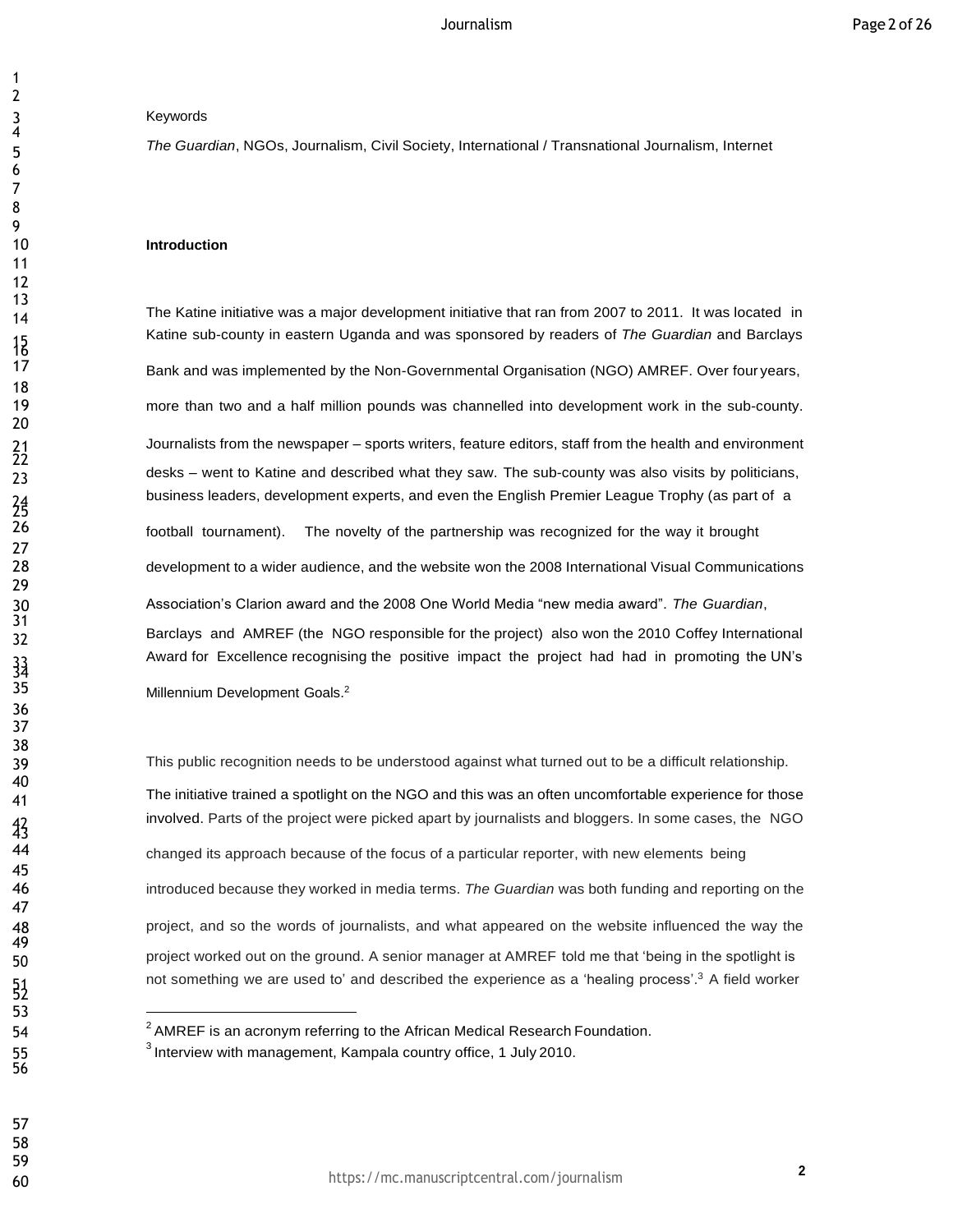# Keywords

 

 

 

 $\frac{15}{17}$ 

 $^{21}_{22}$ 

 $\frac{43}{3}$ 

 *The Guardian*, NGOs, Journalism, Civil Society, International / Transnational Journalism, Internet

## **Introduction**

14 The Katine initiative was a major development initiative that ran from 2007 to 2011. It was located in Katine sub-county in eastern Uganda and was sponsored by readers of *The Guardian* and Barclays Bank and was implemented by the Non-Governmental Organisation (NGO) AMREF. Over four years, more than two and a half million pounds was channelled into development work in the sub-county. Journalists from the newspaper – sports writers, feature editors, staff from the health and environment desks – went to Katine and described what they saw. The sub-county was also visits by politicians, business leaders, development experts, and even the English Premier League Trophy (as part of a football tournament). The novelty of the partnership was recognized for the way it brought development to a wider audience, and the website won the 2008 International Visual Communications Association's Clarion award and the 2008 One World Media "new media award". *The Guardian*, Barclays and AMREF (the NGO responsible for the project) also won the 2010 Coffey International Award for Excellence recognising the positive impact the project had had in promoting the UN's

Millennium Development Goals.<sup>2</sup>

This public recognition needs to be understood against what turned out to be a difficult relationship. The initiative trained a spotlight on the NGO and this was an often uncomfortable experience for those involved. Parts of the project were picked apart by journalists and bloggers. In some cases, the NGO changed its approach because of the focus of a particular reporter, with new elements being introduced because they worked in media terms. *The Guardian* was both funding and reporting on the project, and so the words of journalists, and what appeared on the website influenced the way the 50 project worked out on the ground. A senior manager at AMREF told me that 'being in the spotlight is not something we are used to' and described the experience as a 'healing process'.<sup>3</sup> A field worker

<sup>54 &</sup>lt;sup>2</sup> AMREF is an acronym referring to the African Medical Research Foundation.

Interview with management, Kampala country office, 1 July 2010.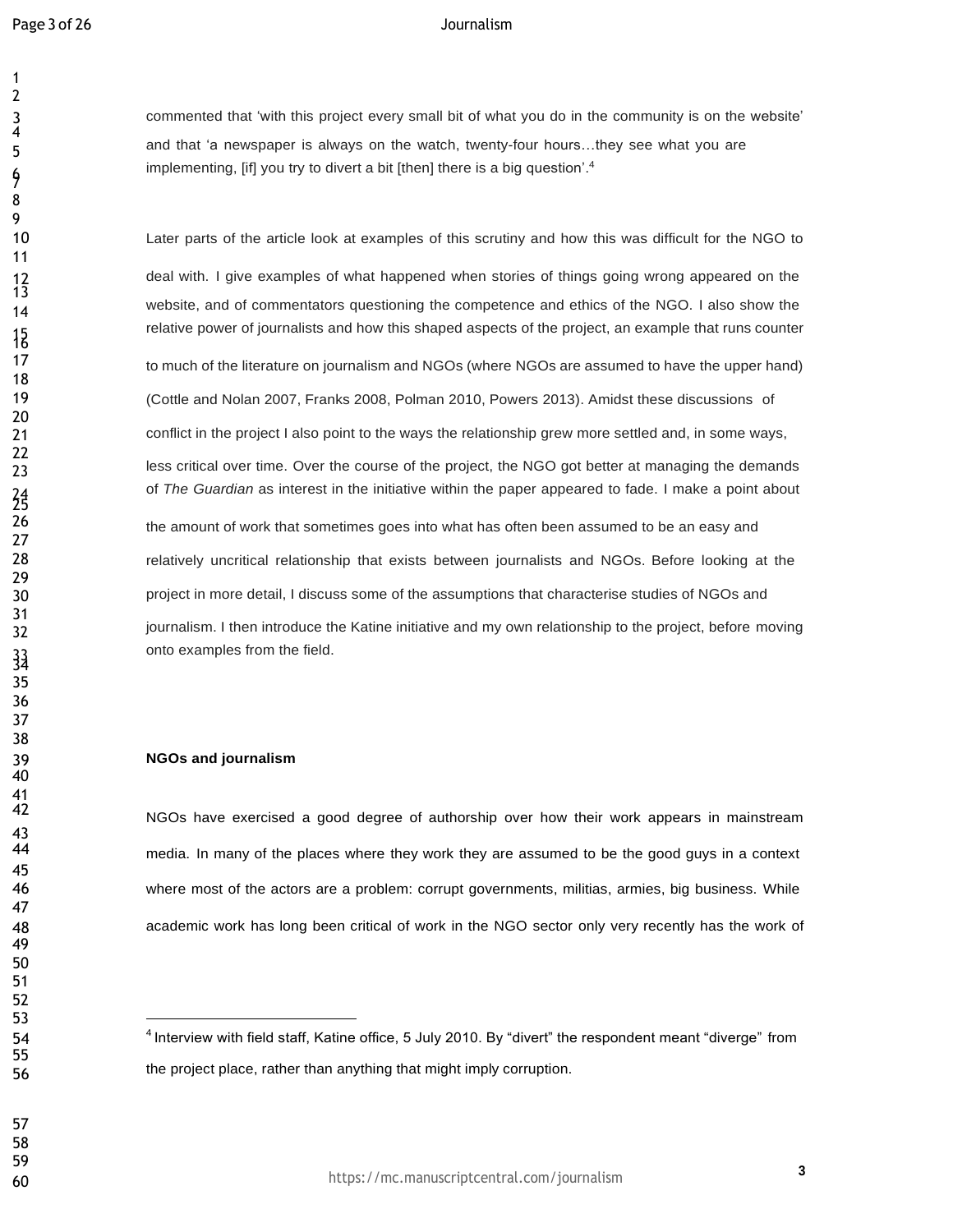7

 

<br> $13$ 

 41<br>42

 commented that 'with this project every small bit of what you do in the community is on the website' and that 'a newspaper is always on the watch, twenty-four hours…they see what you are implementing, [if] you try to divert a bit [then] there is a big question'.<sup>4</sup>

Later parts of the article look at examples of this scrutiny and how this was difficult for the NGO to

deal with. I give examples of what happened when stories of things going wrong appeared on the website, and of commentators questioning the competence and ethics of the NGO. <sup>I</sup> also show the relative power of journalists and how this shaped aspects of the project, an example that runs counter

project in more detail, I discuss some of the assumptions that characterise studies of NGOs and less critical over time. Over the course of the project, the NGO got better at managing the demands of *The Guardian* as interest in the initiative within the paper appeared to fade. I make a point about 32 journalism. I then introduce the Katine initiative and my own relationship to the project, before moving to much of the literature on journalism and NGOs (where NGOs are assumed to have the upper hand) (Cottle and Nolan 2007, Franks 2008, Polman 2010, Powers 2013). Amidst these discussions of conflict in the project I also point to the ways the relationship grew more settled and, in some ways, the amount of work that sometimes goes into what has often been assumed to be an easy and relatively uncritical relationship that exists between journalists and NGOs. Before looking at the

onto examples from the field.

## **NGOs and journalism**

NGOs have exercised a good degree of authorship over how their work appears in mainstream media. In many of the places where they work they are assumed to be the good guys in a context where most of the actors are a problem: corrupt governments, militias, armies, big business. While academic work has long been critical of work in the NGO sector only very recently has the work of

<sup>54 &</sup>lt;sup>4</sup>Interview with field staff, Katine office, 5 July 2010. By "divert" the respondent meant "diverge" from the project place, rather than anything that might imply corruption.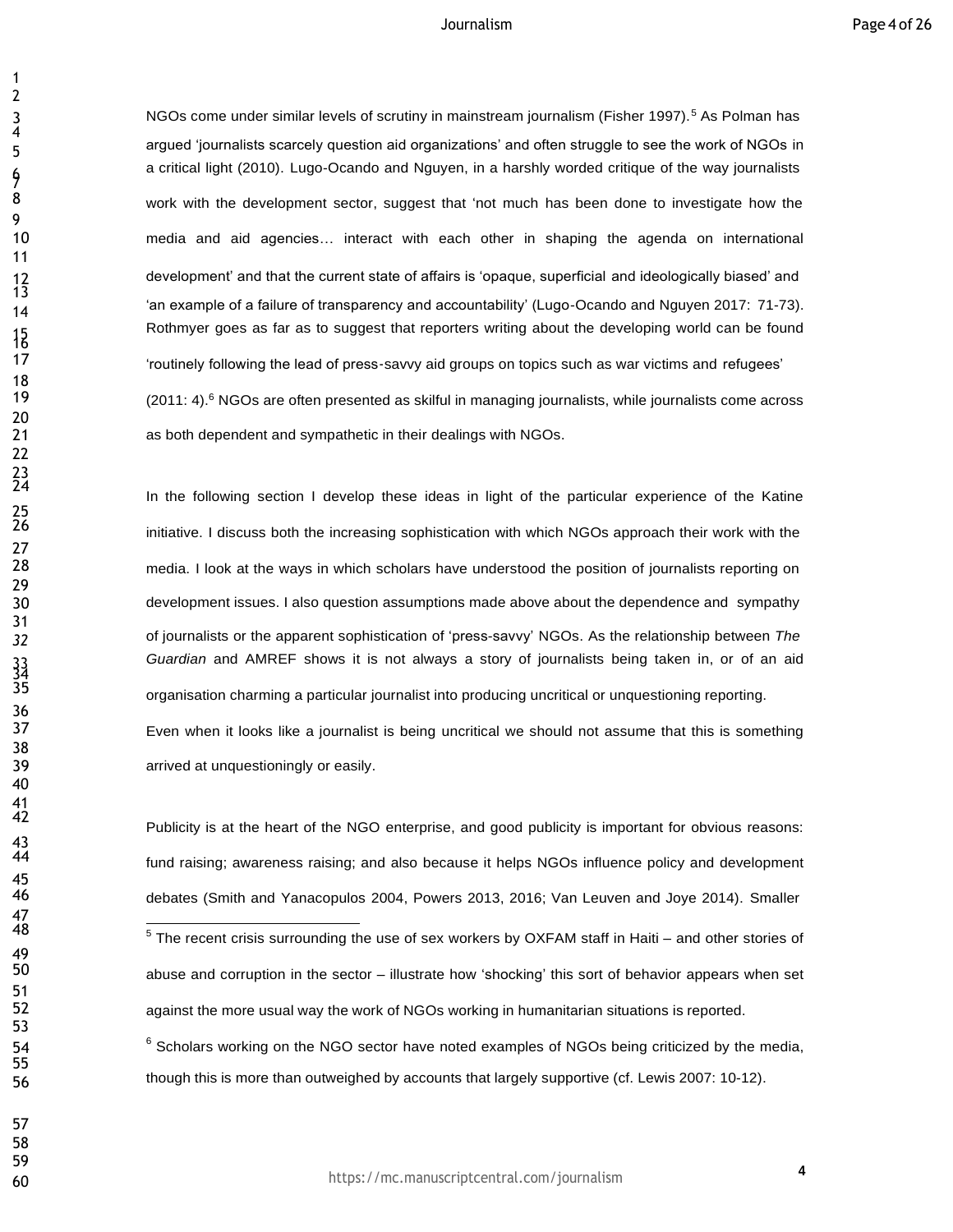3 NGOs come under similar levels of scrutiny in mainstream journalism (Fisher 1997).<sup>5</sup> As Polman has argued 'journalists scarcely question aid organizations' and often struggle to see the work of NGOs in a critical light (2010). Lugo-Ocando and Nguyen, in a harshly worded critique of the way journalists 8 work with the development sector, suggest that 'not much has been done to investigate how the media and aid agencies… interact with each other in shaping the agenda on international development' and that the current state of affairs is 'opaque, superficial and ideologically biased' and 'an example of a failure of transparency and accountability' (Lugo-Ocando and Nguyen 2017: 71-73). Rothmyer goes as far as to suggest that reporters writing about the developing world can be found 'routinely following the lead of press‐savvy aid groups on topics such as war victims and refugees' (2011: 4).<sup>6</sup> NGOs are often presented as skilful in managing journalists, while journalists come across as both dependent and sympathetic in their dealings with NGOs.

In the following section I develop these ideas in light of the particular experience of the Katine initiative. I discuss both the increasing sophistication with which NGOs approach their work with the media. I look at the ways in which scholars have understood the position of journalists reporting on development issues. I also question assumptions made above about the dependence and sympathy of journalists or the apparent sophistication of 'press-savvy' NGOs. As the relationship between *The Guardian* and AMREF shows it is not always a story of journalists being taken in, or of an aid organisation charming a particular journalist into producing uncritical or unquestioning reporting. Even when it looks like a journalist is being uncritical we should not assume that this is something arrived at unquestioningly or easily.

Publicity is at the heart of the NGO enterprise, and good publicity is important for obvious reasons: fund raising; awareness raising; and also because it helps NGOs influence policy and development debates (Smith and Yanacopulos 2004, Powers 2013, 2016; Van Leuven and Joye 2014). Smaller

 Scholars working on the NGO sector have noted examples of NGOs being criticized by the media, though this is more than outweighed by accounts that largely supportive (cf. Lewis 2007: 10-12).

 The recent crisis surrounding the use of sex workers by OXFAM staff in Haiti – and other stories of abuse and corruption in the sector – illustrate how 'shocking' this sort of behavior appears when set against the more usual way the work of NGOs working in humanitarian situations is reported.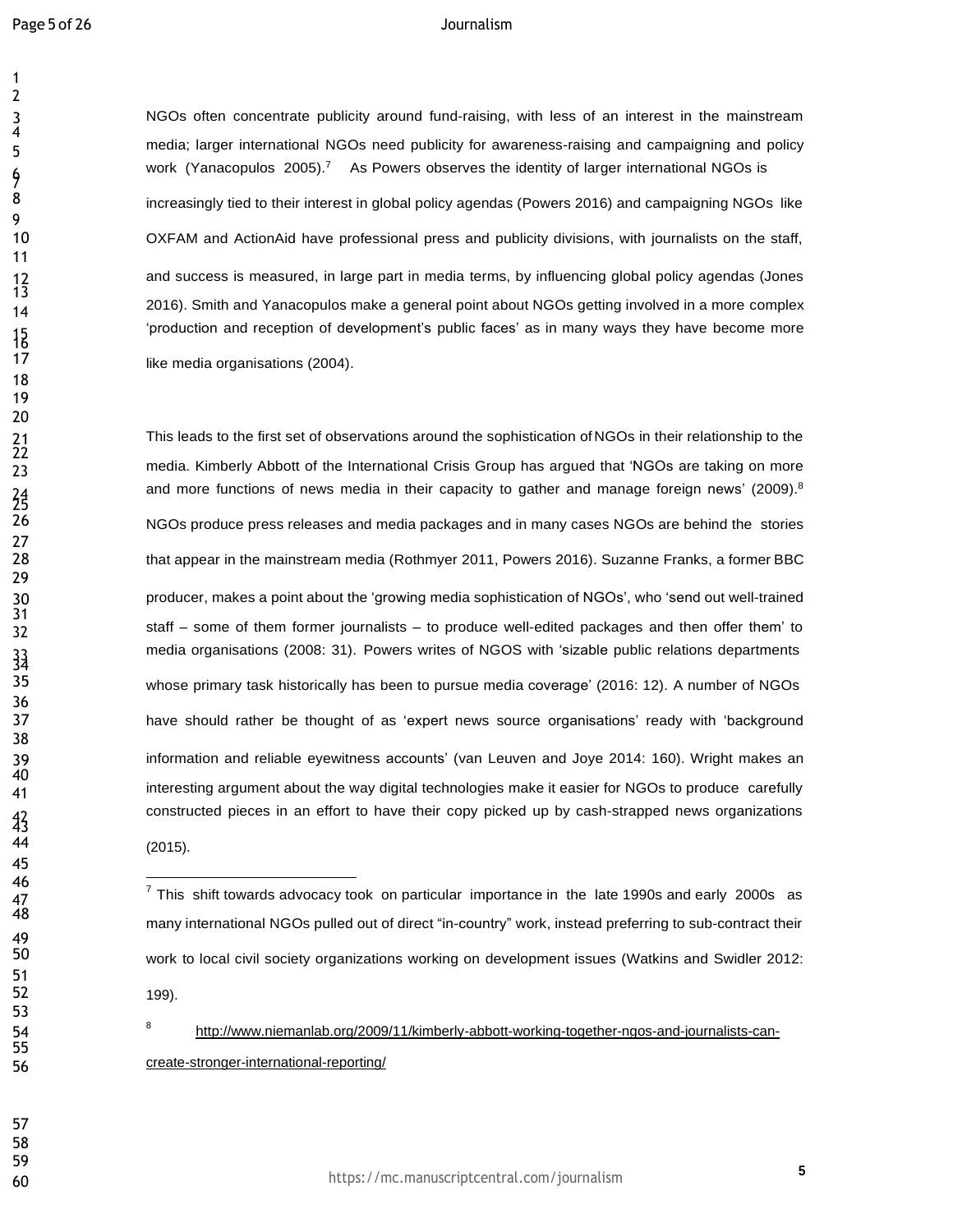NGOs often concentrate publicity around fund-raising, with less of an interest in the mainstream media; larger international NGOs need publicity for awareness-raising and campaigning and policy work (Yanacopulos 2005).<sup>7</sup> As Powers observes the identity of larger international NGOs is 8 increasingly tied to their interest in global policy agendas (Powers 2016) and campaigning NGOs like OXFAM and ActionAid have professional press and publicity divisions, with journalists on the staff, and success is measured, in large part in media terms, by influencing global policy agendas (Jones 2016). Smith and Yanacopulos make a general point about NGOs getting involved in a more complex 'production and reception of development's public faces' as in many ways they have become more like media organisations (2004).

This leads to the first set of observations around the sophistication of NGOs in their relationship to the media. Kimberly Abbott of the International Crisis Group has argued that 'NGOs are taking on more and more functions of news media in their capacity to gather and manage foreign news'  $(2009)^8$  NGOs produce press releases and media packages and in many cases NGOs are behind the stories that appear in the mainstream media (Rothmyer 2011, Powers 2016). Suzanne Franks, a former BBC producer, makes a point about the 'growing media sophistication of NGOs', who 'send out well-trained staff – some of them former journalists – to produce well-edited packages and then offer them' to media organisations (2008: 31). Powers writes of NGOS with 'sizable public relations departments whose primary task historically has been to pursue media coverage' (2016: 12). A number of NGOs have should rather be thought of as 'expert news source organisations' ready with 'background information and reliable eyewitness accounts' (van Leuven and Joye 2014: 160). Wright makes an interesting argument about the way digital technologies make it easier for NGOs to produce carefully constructed pieces in an effort to have their copy picked up by cash-strapped news organizations (2015).

<http://www.niemanlab.org/2009/11/kimberly-abbott-working-together-ngos-and-journalists-can->create-stronger-international-reporting/

<sup>46</sup>  $\frac{1}{7}$ This shift towards advocacy took on particular importance in the late 1990s and early 2000s as many international NGOs pulled out of direct "in-country" work, instead preferring to sub-contract their work to local civil society organizations working on development issues (Watkins and Swidler 2012: 199).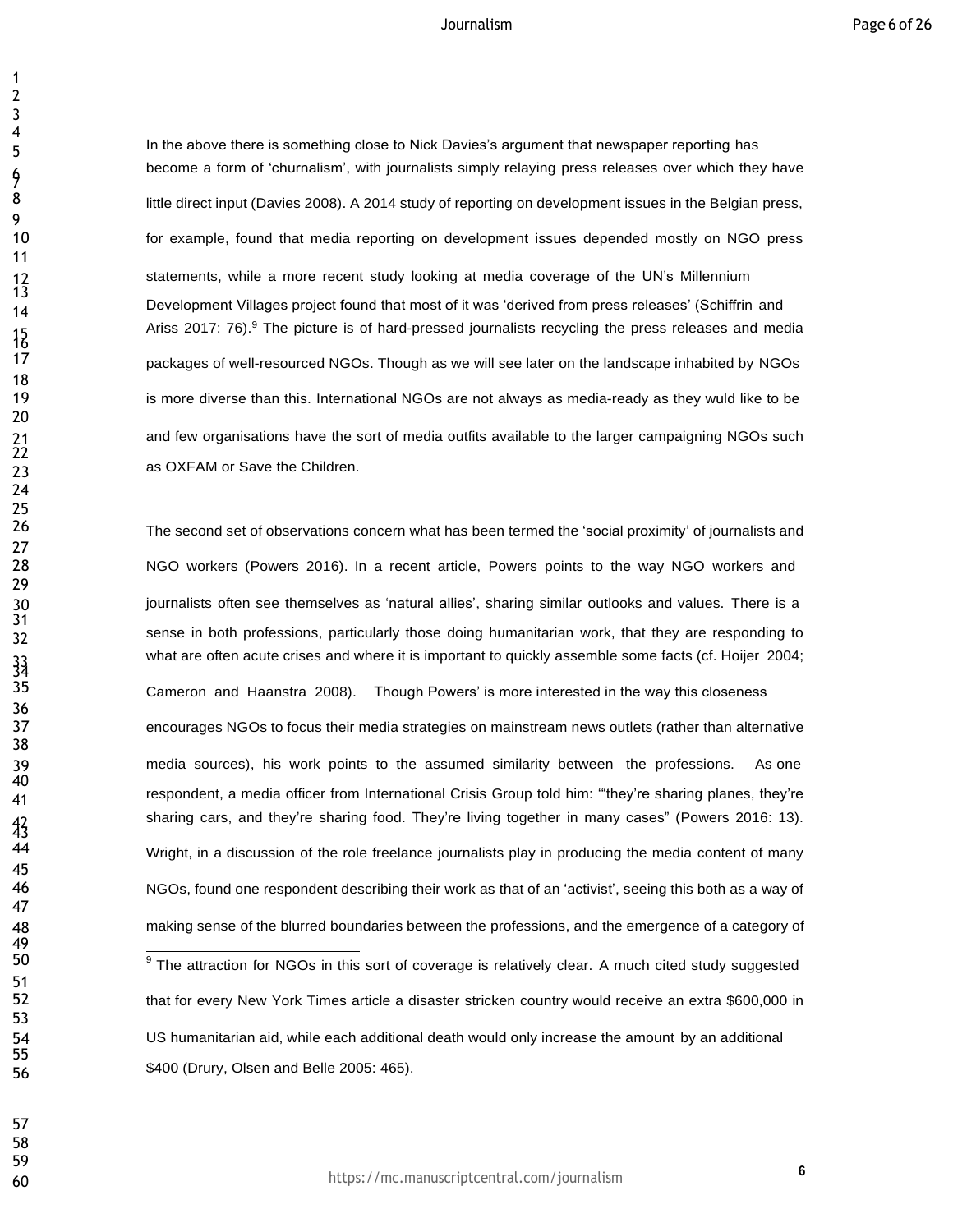In the above there is something close to Nick Davies's argument that newspaper reporting has become a form of 'churnalism', with journalists simply relaying press releases over which they have 8 little direct input (Davies 2008). A 2014 study of reporting on development issues in the Belgian press, for example, found that media reporting on development issues depended mostly on NGO press statements, while a more recent study looking at media coverage of the UN's Millennium 14 Development Villages project found that most of it was 'derived from press releases' (Schiffrin and Ariss 2017: 76).<sup>9</sup> The picture is of hard-pressed journalists recycling the press releases and media packages of well-resourced NGOs. Though as we will see later on the landscape inhabited by NGOs is more diverse than this. International NGOs are not always as media-ready as they wuld like to be and few organisations have the sort of media outfits available to the larger campaigning NGOs such as OXFAM or Save the Children.

 The second set of observations concern what has been termed the 'social proximity' of journalists and NGO workers (Powers 2016). In a recent article, Powers points to the way NGO workers and journalists often see themselves as 'natural allies', sharing similar outlooks and values. There is a sense in both professions, particularly those doing humanitarian work, that they are responding to what are often acute crises and where it is important to quickly assemble some facts (cf. Hoijer 2004; Cameron and Haanstra 2008). Though Powers' is more interested in the way this closeness encourages NGOs to focus their media strategies on mainstream news outlets (rather than alternative media sources), his work points to the assumed similarity between the professions. As one <sup>15</sup> respondent, a media officer from International Crisis Group told him: "they're sharing planes, they're sharing cars, and they're sharing food. They're living together in many cases" (Powers 2016: 13). Wright, in a discussion of the role freelance journalists play in producing the media content of many NGOs, found one respondent describing their work as that of an 'activist', seeing this both as a way of making sense of the blurred boundaries between the professions, and the emergence of a category of The attraction for NGOs in this sort of coverage is relatively clear. A much cited study suggested 52 that for every New York Times article a disaster stricken country would receive an extra \$600,000 in US humanitarian aid, while each additional death would only increase the amount by an additional \$400 (Drury, Olsen and Belle 2005: 465).

 

https://mc.manuscriptcentral.com/journalism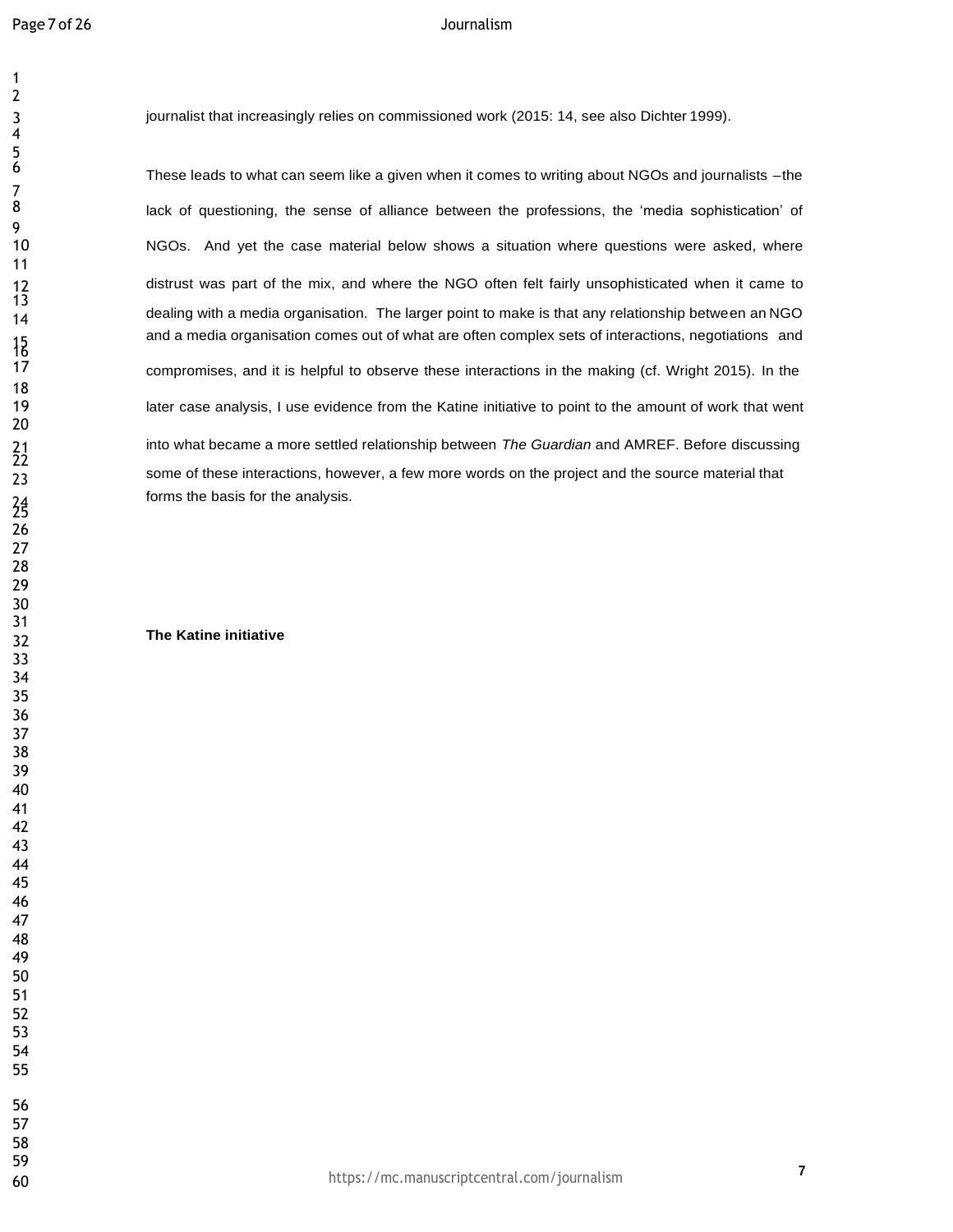journalist that increasingly relies on commissioned work (2015: 14, see also Dichter 1999).

These leads to what can seem like a given when it comes to writing about NGOs and journalists –the lack of questioning, the sense of alliance between the professions, the 'media sophistication' of NGOs. And yet the case material below shows a situation where questions were asked, where distrust was part of the mix, and where the NGO often felt fairly unsophisticated when it came to dealing with a media organisation. The larger point to make is that any relationship between an NGO and a media organisation comes out of what are often complex sets of interactions, negotiations and compromises, and it is helpful to observe these interactions in the making (cf. Wright 2015). In the later case analysis, I use evidence from the Katine initiative to point to the amount of work that went into what became a more settled relationship between *The Guardian* and AMREF. Before discussing <sup>22</sup> some of these interactions, however, a few more words on the project and the source material that forms the basis for the analysis.

# **The Katine initiative**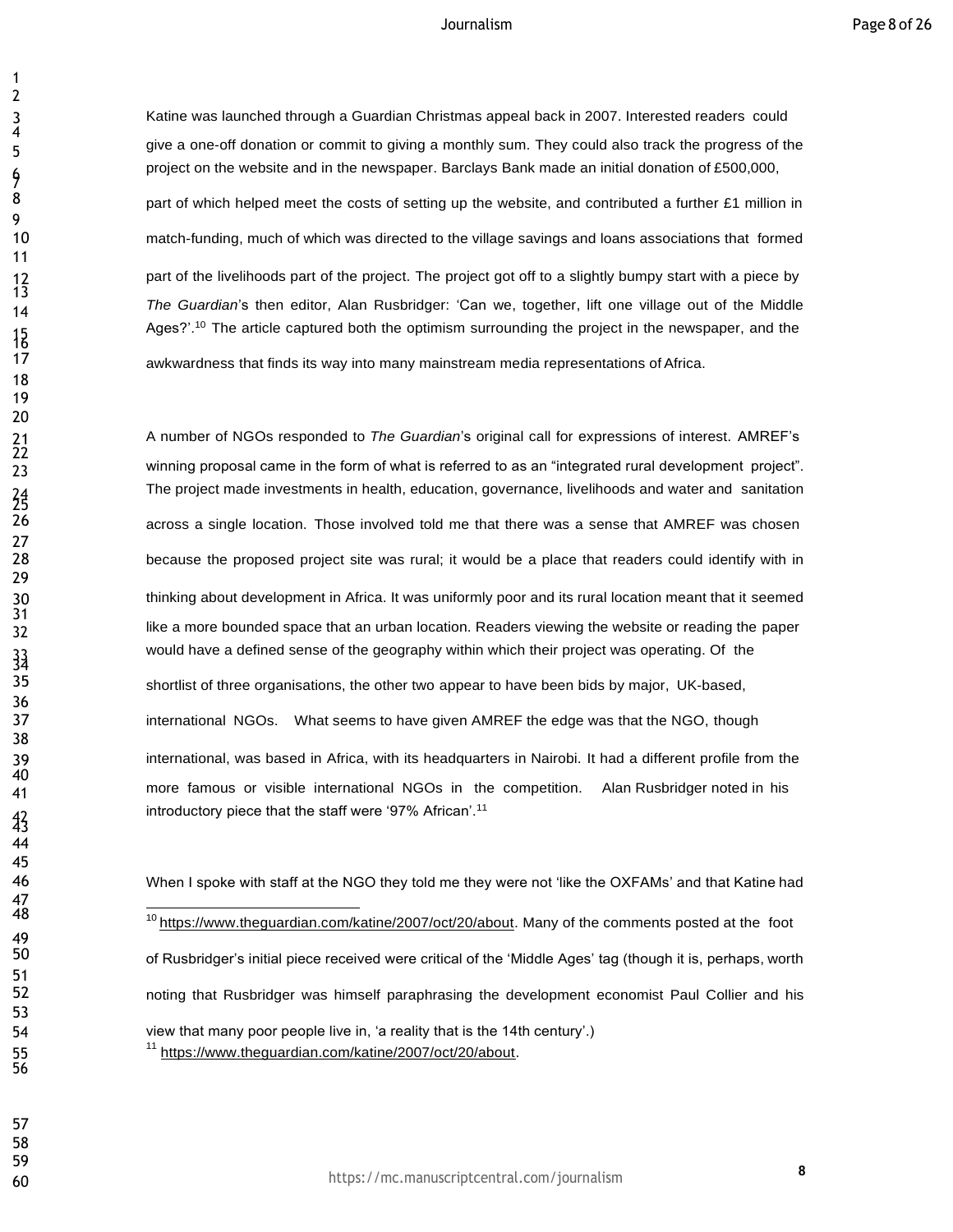Katine was launched through a Guardian Christmas appeal back in 2007. Interested readers could give a one-off donation or commit to giving a monthly sum. They could also track the progress of the project on the website and in the newspaper. Barclays Bank made an initial donation of £500,000, 8 barr of which helped meet the costs of setting up the website, and contributed a further £1 million in match-funding, much of which was directed to the village savings and loans associations that formed part of the livelihoods part of the project. The project got off to a slightly bumpy start with a piece by *The Guardian*'s then editor, Alan Rusbridger: 'Can we, together, lift one village out of the Middle Ages?'.<sup>10</sup> The article captured both the optimism surrounding the project in the newspaper, and the

awkwardness that finds its way into many mainstream media representations of Africa.

 A number of NGOs responded to *The Guardian*'s original call for expressions of interest. AMREF's winning proposal came in the form of what is referred to as an "integrated rural development project". The project made investments in health, education, governance, livelihoods and water and sanitation across a single location. Those involved told me that there was a sense that AMREF was chosen because the proposed project site was rural; it would be a place that readers could identify with in thinking about development in Africa. It was uniformly poor and its rural location meant that it seemed like a more bounded space that an urban location. Readers viewing the website or reading the paper would have a defined sense of the geography within which their project was operating. Of the shortlist of three organisations, the other two appear to have been bids by major, UK-based, international NGOs. What seems to have given AMREF the edge was that the NGO, though international, was based in Africa, with its headquarters in Nairobi. It had a different profile from the more famous or visible international NGOs in the competition. Alan Rusbridger noted in his introductory piece that the staff were '97% African'.<sup>11</sup>

 When I spoke with staff at the NGO they told me they were not 'like the OXFAMs' and that Katine had https:/[/www.theguardian.com/katine/2007/oct/20/about.](http://www.theguardian.com/katine/2007/oct/20/about) Many of the comments posted at the foot of Rusbridger's initial piece received were critical of the 'Middle Ages' tag (though it is, perhaps, worth noting that Rusbridger was himself paraphrasing the development economist Paul Collier and his view that many poor people live in, 'a reality that is the 14th century'.) 55 <sup>11</sup> https:[//www.theguardian.com/katine/2007/oct/20/about.](http://www.theguardian.com/katine/2007/oct/20/about)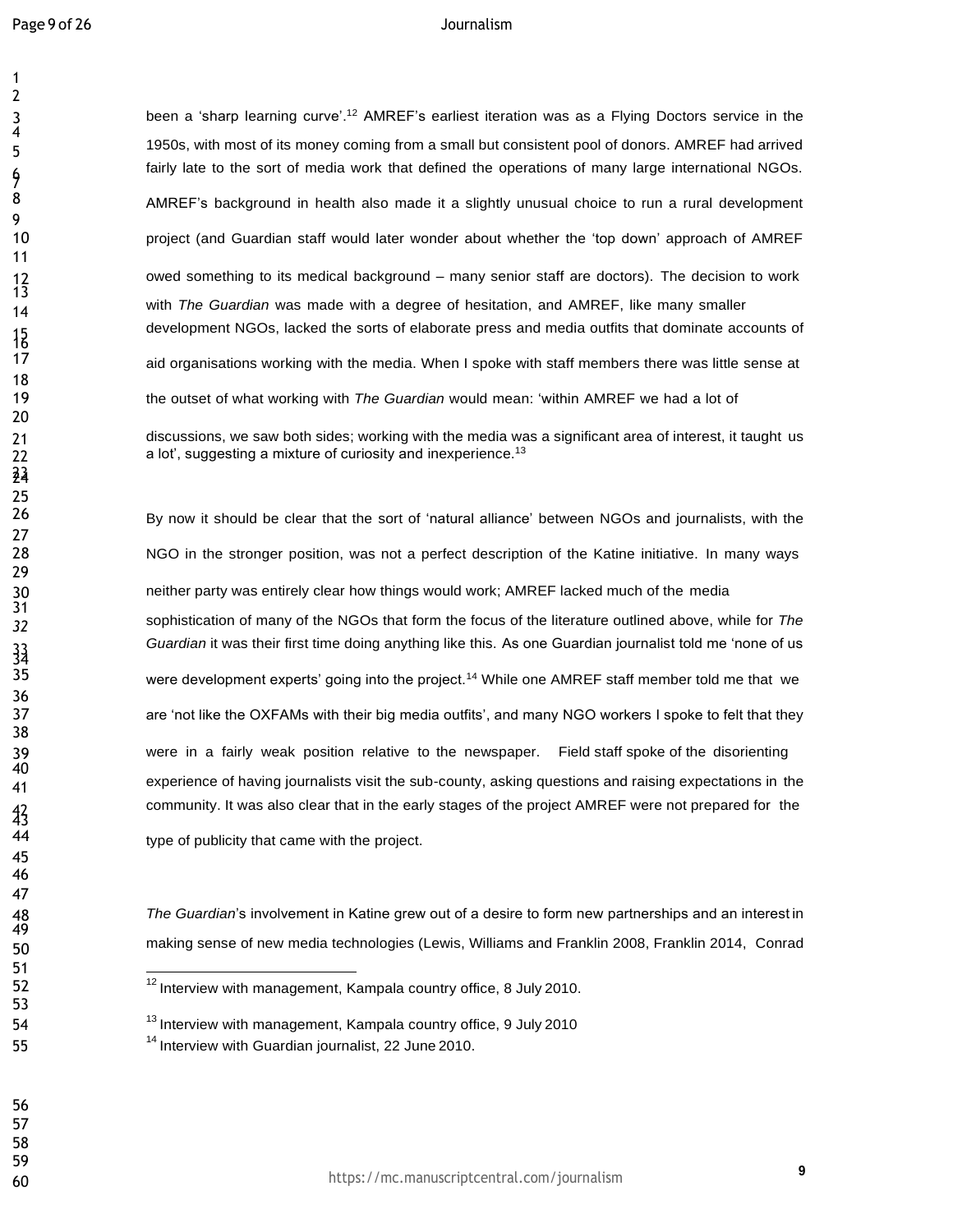3 been a 'sharp learning curve'.<sup>12</sup> AMREF's earliest iteration was as a Flying Doctors service in the 1950s, with most of its money coming from a small but consistent pool of donors. AMREF had arrived fairly late to the sort of media work that defined the operations of many large international NGOs. 8 AMREF's background in health also made it a slightly unusual choice to run a rural development project (and Guardian staff would later wonder about whether the 'top down' approach of AMREF owed something to its medical background – many senior staff are doctors). The decision to work with *The Guardian* was made with <sup>a</sup> degree of hesitation, and AMREF, like many smaller development NGOs, lacked the sorts of elaborate press and media outfits that dominate accounts of aid organisations working with the media. When I spoke with staff members there was little sense at the outset of what working with *The Guardian* would mean: 'within AMREF we had a lot of discussions, we saw both sides; working with the media was a significant area of interest, it taught us 22 a lot', suggesting a mixture of curiosity and inexperience.<sup>13</sup>

 By now it should be clear that the sort of 'natural alliance' between NGOs and journalists, with the NGO in the stronger position, was not a perfect description of the Katine initiative. In many ways neither party was entirely clear how things would work; AMREF lacked much of the media sophistication of many of the NGOs that form the focus of the literature outlined above, while for *The Guardian* it was their first time doing anything like this. As one Guardian journalist told me 'none of us were development experts' going into the project.<sup>14</sup> While one AMREF staff member told me that we 37 are 'not like the OXFAMs with their big media outfits', and many NGO workers I spoke to felt that they were in a fairly weak position relative to the newspaper. Field staff spoke of the disorienting experience of having journalists visit the sub-county, asking questions and raising expectations in the community. It was also clear that in the early stages of the project AMREF were not prepared for the

type of publicity that came with the project.

 *The Guardian*'s involvement in Katine grew out of a desire to form new partnerships and an interest in making sense of new media technologies (Lewis, Williams and Franklin 2008, Franklin 2014, Conrad

<sup>&</sup>lt;sup>12</sup>Interview with management, Kampala country office, 8 July 2010.

<sup>54 &</sup>lt;sup>13</sup> Interview with management, Kampala country office, 9 July 2010 55 14 Interview with Guardian journalist, 22 June 2010.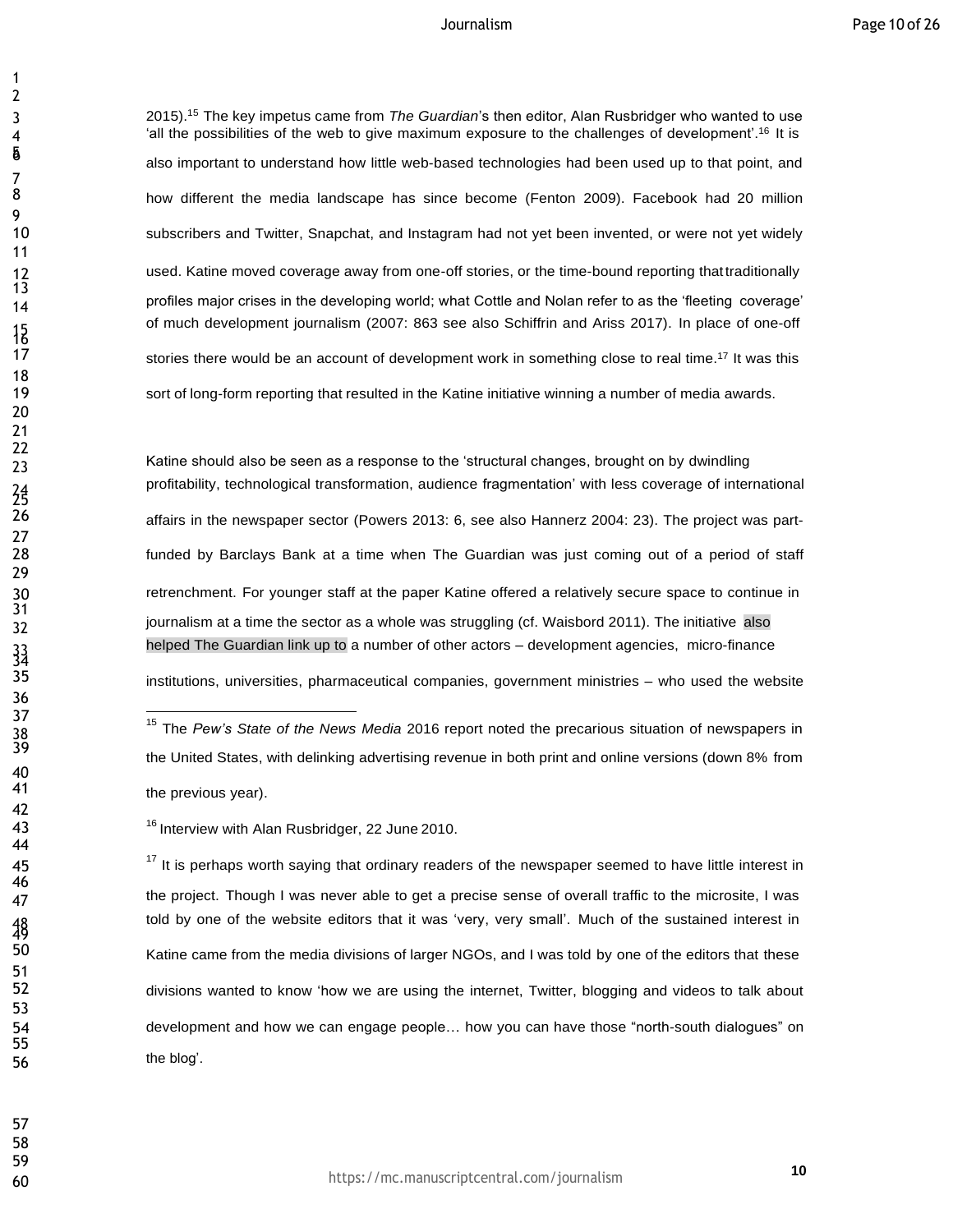2015).<sup>15</sup> The key impetus came from *The Guardian*'s then editor, Alan Rusbridger who wanted to use 4 <sup>'all</sup> the possibilities of the web to give maximum exposure to the challenges of development'.<sup>16</sup> It is also important to understand how little web-based technologies had been used up to that point, and how different the media landscape has since become (Fenton 2009). Facebook had 20 million subscribers and Twitter, Snapchat, and Instagram had not yet been invented, or were not yet widely used. Katine moved coverage away from one-off stories, or the time-bound reporting thattraditionally profiles major crises in the developing world; what Cottle and Nolan refer to as the 'fleeting coverage' of much development journalism (2007: 863 see also Schiffrin and Ariss 2017). In place of one-off 17 stories there would be an account of development work in something close to real time.<sup>17</sup> It was this sort of long-form reporting that resulted in the Katine initiative winning a number of media awards.

 $\frac{1}{23}$  Katine should also be seen as a response to the 'structural changes, brought on by dwindling profitability, technological transformation, audience fragmentation' with less coverage of international affairs in the newspaper sector (Powers 2013: 6, see also Hannerz 2004: 23). The project was part- funded by Barclays Bank at a time when The Guardian was just coming out of a period of staff retrenchment. For younger staff at the paper Katine offered a relatively secure space to continue in 32 journalism at a time the sector as a whole was struggling (cf. Waisbord 2011). The initiative also helped The Guardian link up to a number of other actors – development agencies, micro-finance

institutions, universities, pharmaceutical companies, government ministries – who used the website

 It is perhaps worth saying that ordinary readers of the newspaper seemed to have little interest in the project. Though I was never able to get a precise sense of overall traffic to the microsite, I was told by one of the website editors that it was 'very, very small'. Much of the sustained interest in Katine came from the media divisions of larger NGOs, and I was told by one of the editors that these divisions wanted to know 'how we are using the internet, Twitter, blogging and videos to talk about development and how we can engage people… how you can have those "north-south dialogues" on the blog'.

 <sup>15</sup> The *Pew's State of the News Media* <sup>2016</sup> report noted the precarious situation of newspapers in the United States, with delinking advertising revenue in both print and online versions (down 8% from the previous year).

<sup>43</sup>  Interview with Alan Rusbridger, 22 June 2010.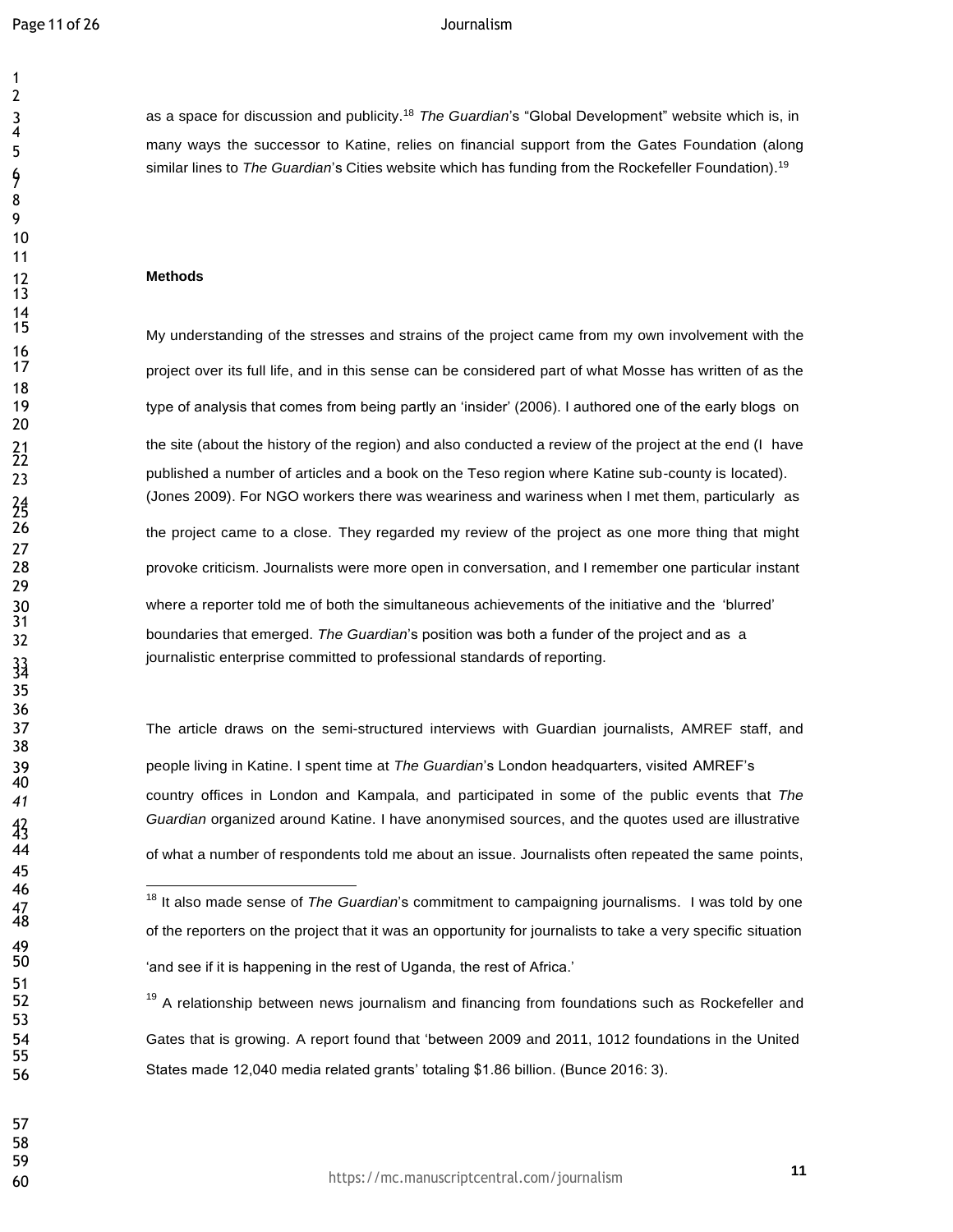7

 14<br>15

 $\frac{24}{26}$ 

 

 as a space for discussion and publicity.<sup>18</sup> *The Guardian*'s "Global Development" website which is, in many ways the successor to Katine, relies on financial support from the Gates Foundation (along similar lines to *The Guardian*'s Cities website which has funding from the Rockefeller Foundation).<sup>19</sup>

## **Methods**

My understanding of the stresses and strains of the project came from my own involvement with the project over its full life, and in this sense can be considered part of what Mosse has written of as the 19 type of analysis that comes from being partly an 'insider' (2006). I authored one of the early blogs on 21 the site (about the history of the region) and also conducted a review of the project at the end (I have published a number of articles and a book on the Teso region where Katine sub-county is located). (Jones 2009). For NGO workers there was weariness and wariness when I met them, particularly as the project came to a close. They regarded my review of the project as one more thing that might provoke criticism. Journalists were more open in conversation, and I remember one particular instant where a reporter told me of both the simultaneous achievements of the initiative and the 'blurred' boundaries that emerged. *The Guardian*'s position was both a funder of the project and as a journalistic enterprise committed to professional standards of reporting.

 The article draws on the semi-structured interviews with Guardian journalists, AMREF staff, and people living in Katine. I spent time at *The Guardian*'s London headquarters, visited AMREF's country offices in London and Kampala, and participated in some of the public events that *The Guardian* organized around Katine. I have anonymised sources, and the quotes used are illustrative of what a number of respondents told me about an issue. Journalists often repeated the same points,

<sup>19</sup> A relationship between news journalism and financing from foundations such as Rockefeller and Gates that is growing. A report found that 'between 2009 and 2011, 1012 foundations in the United States made 12,040 media related grants' totaling \$1.86 billion. (Bunce 2016: 3).

 

47<br>48

49<br>50

 <sup>18</sup> It also made sense of *The Guardian*'s commitment to campaigning journalisms. I was told by one of the reporters on the project that it was an opportunity for journalists to take a very specific situation 'and see if it is happening in the rest of Uganda, the rest of Africa.'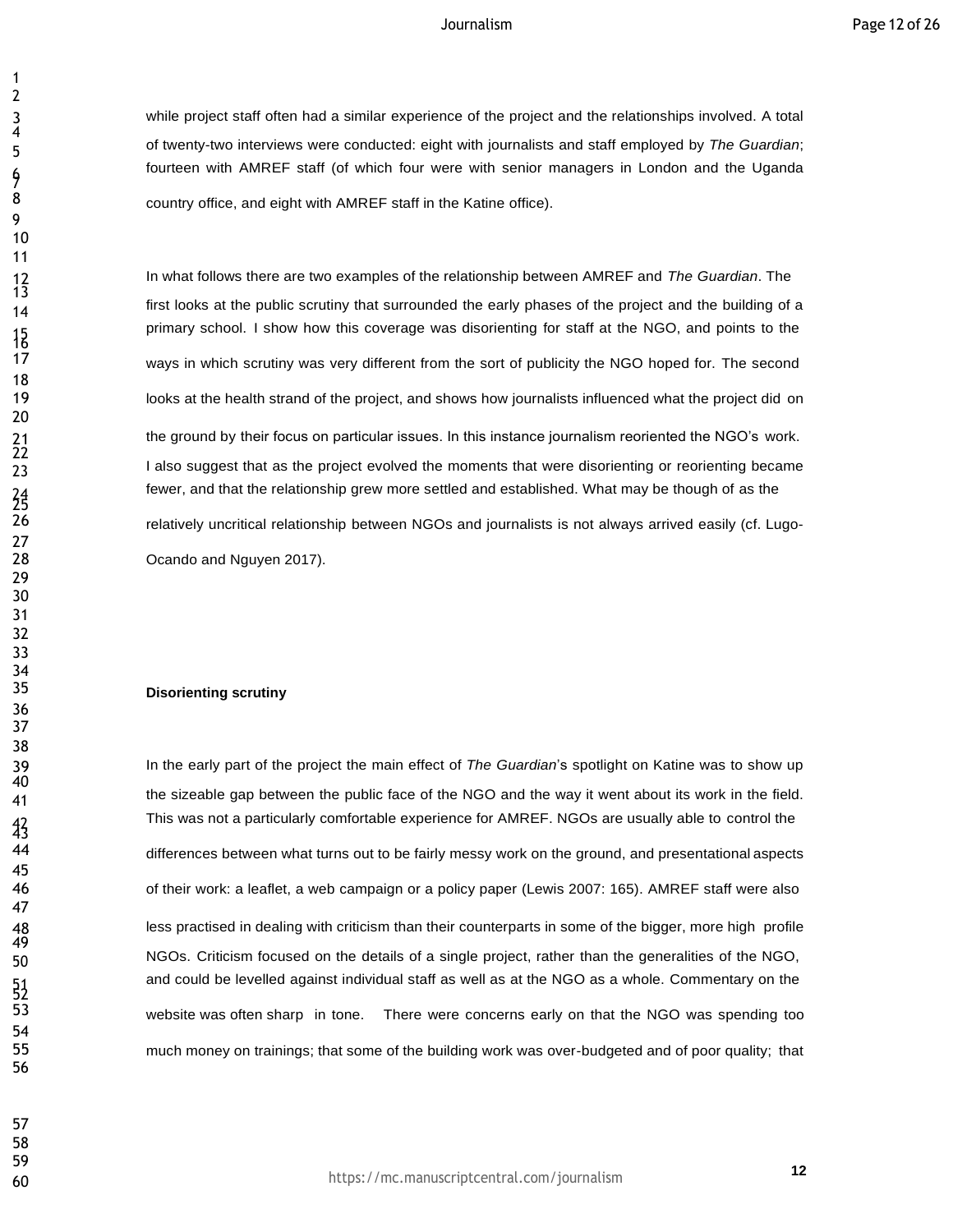while project staff often had a similar experience of the project and the relationships involved. A total of twenty-two interviews were conducted: eight with journalists and staff employed by *The Guardian*; fourteen with AMREF staff (of which four were with senior managers in London and the Uganda **8** country office, and eight with AMREF staff in the Katine office).

 In what follows there are two examples of the relationship between AMREF and *The Guardian*. The first looks at the public scrutiny that surrounded the early phases of the project and the building of a primary school. I show how this coverage was disorienting for staff at the NGO, and points to the ways in which scrutiny was very different from the sort of publicity the NGO hoped for. The second looks at the health strand of the project, and shows how journalists influenced what the project did on the ground by their focus on particular issues. In this instance journalism reoriented the NGO's work. I also suggest that as the project evolved the moments that were disorienting or reorienting became fewer, and that the relationship grew more settled and established. What may be though of as the relatively uncritical relationship between NGOs and journalists is not always arrived easily (cf. Lugo-

Ocando and Nguyen 2017).

# **Disorienting scrutiny**

 In the early part of the project the main effect of *The Guardian*'s spotlight on Katine was to show up the sizeable gap between the public face of the NGO and the way it went about its work in the field. This was not a particularly comfortable experience for AMREF. NGOs are usually able to control the 44 differences between what turns out to be fairly messy work on the ground, and presentational aspects of their work: a leaflet, a web campaign or a policy paper (Lewis 2007: 165). AMREF staff were also less practised in dealing with criticism than their counterparts in some of the bigger, more high profile NGOs. Criticism focused on the details of a single project, rather than the generalities of the NGO, and could be levelled against individual staff as well as at the NGO as a whole. Commentary on the website was often sharp in tone. There were concerns early on that the NGO was spending too much money on trainings; that some of the building work was over-budgeted and of poor quality; that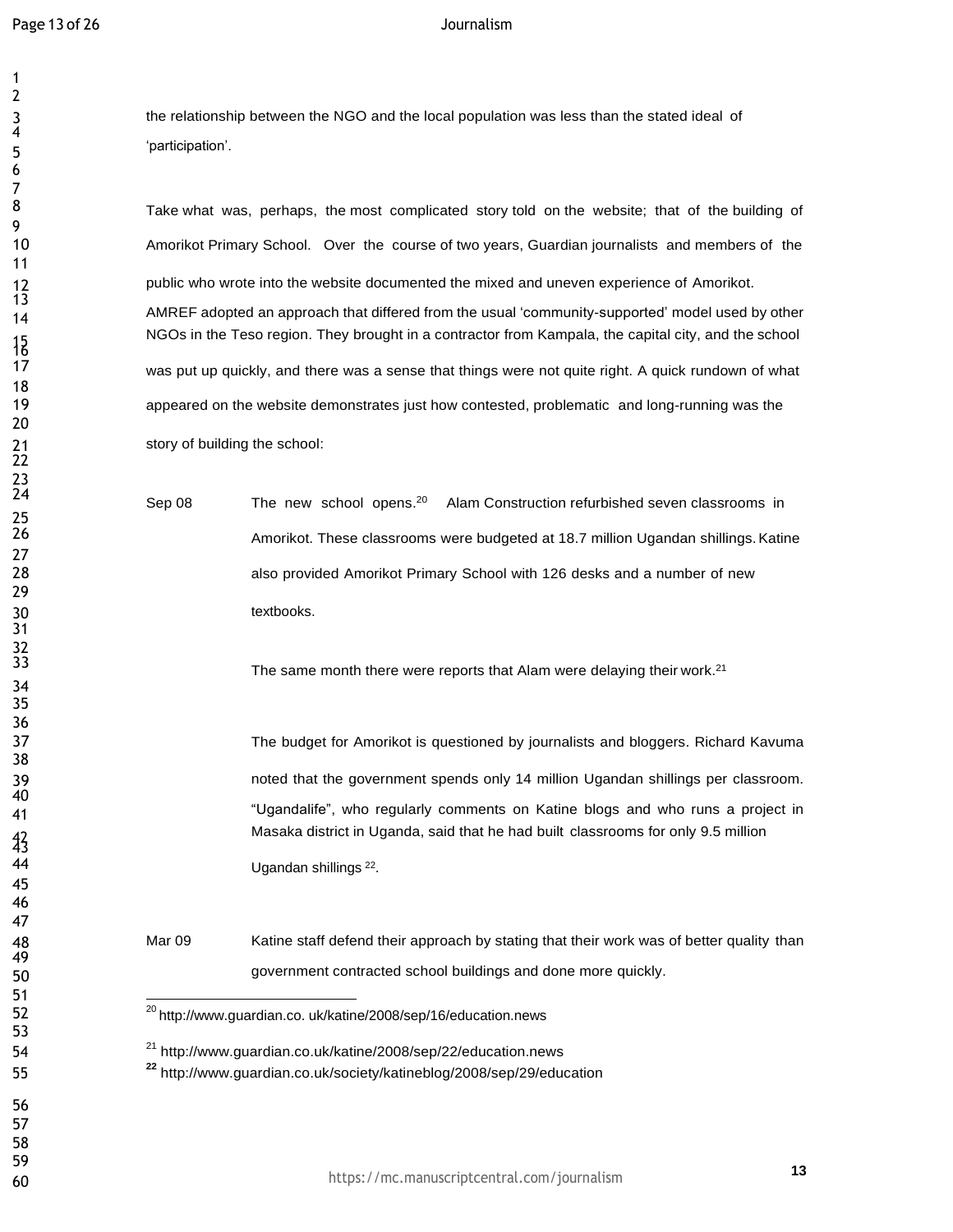| l                                               |
|-------------------------------------------------|
| $\begin{array}{c} 4 \\ 5 \\ 6 \\ - \end{array}$ |
|                                                 |
|                                                 |
|                                                 |
| 7<br>8<br>9<br>10<br>11                         |
|                                                 |
| 12<br>13<br>14                                  |
|                                                 |
| 15<br>17<br>18<br>19<br>20                      |
|                                                 |
|                                                 |
|                                                 |
|                                                 |
| 21<br>22<br>23<br>24                            |
|                                                 |
|                                                 |
| 25<br>26<br>27<br>28<br>29<br>30                |
|                                                 |
| 30<br>31<br>32<br>33                            |
|                                                 |
|                                                 |
| $\frac{34}{5}$                                  |
|                                                 |
|                                                 |
| - 35<br>35<br>36<br>38<br>39<br>39              |
| 11                                              |
| $\frac{42}{3}$                                  |
| 44                                              |
| 45                                              |
| 46<br>47                                        |
| 48                                              |
| 49<br>50                                        |
|                                                 |
| -<br>51<br>52                                   |
| 53<br>54                                        |
| 55                                              |
| 56                                              |
| 57                                              |
| 58<br>59                                        |
|                                                 |

the relationship between the NGO and the local population was less than the stated ideal of 'participation'.

Take what was, perhaps, the most complicated story told on the website; that of the building of Amorikot Primary School. Over the course of two years, Guardian journalists and members of the public who wrote into the website documented the mixed and uneven experience of Amorikot. AMREF adopted an approach that differed from the usual 'community-supported' model used by other NGOs in the Teso region. They brought in a contractor from Kampala, the capital city, and the school was put up quickly, and there was a sense that things were not quite right. A quick rundown of what appeared on the website demonstrates just how contested, problematic and long-running was the story of building the school:

 $\text{Sep } 08$  The new school opens.<sup>20</sup> Alam Construction refurbished seven classrooms in Amorikot. These classrooms were budgeted at 18.7 million Ugandan shillings. Katine also provided Amorikot Primary School with 126 desks and a number of new textbooks.

The same month there were reports that Alam were delaying their work.

The budget for Amorikot is questioned by journalists and bloggers. Richard Kavuma noted that the government spends only 14 million Ugandan shillings per classroom. "Ugandalife", who regularly comments on Katine blogs and who runs a project in Masaka district in Uganda, said that he had built classrooms for only 9.5 million 44 Ugandan shillings<sup>22</sup>.

> Mar 09 Katine staff defend their approach by stating that their work was of better quality than government contracted school buildings and done more quickly.

 $^{20}$  [http://www.guardian.co.](http://www.guardian.co/) uk/katine/2008/sep/16/education.news

<sup>21</sup> <http://www.guardian.co.uk/katine/2008/sep/22/education.news>

**<sup>22</sup>** <http://www.guardian.co.uk/society/katineblog/2008/sep/29/education>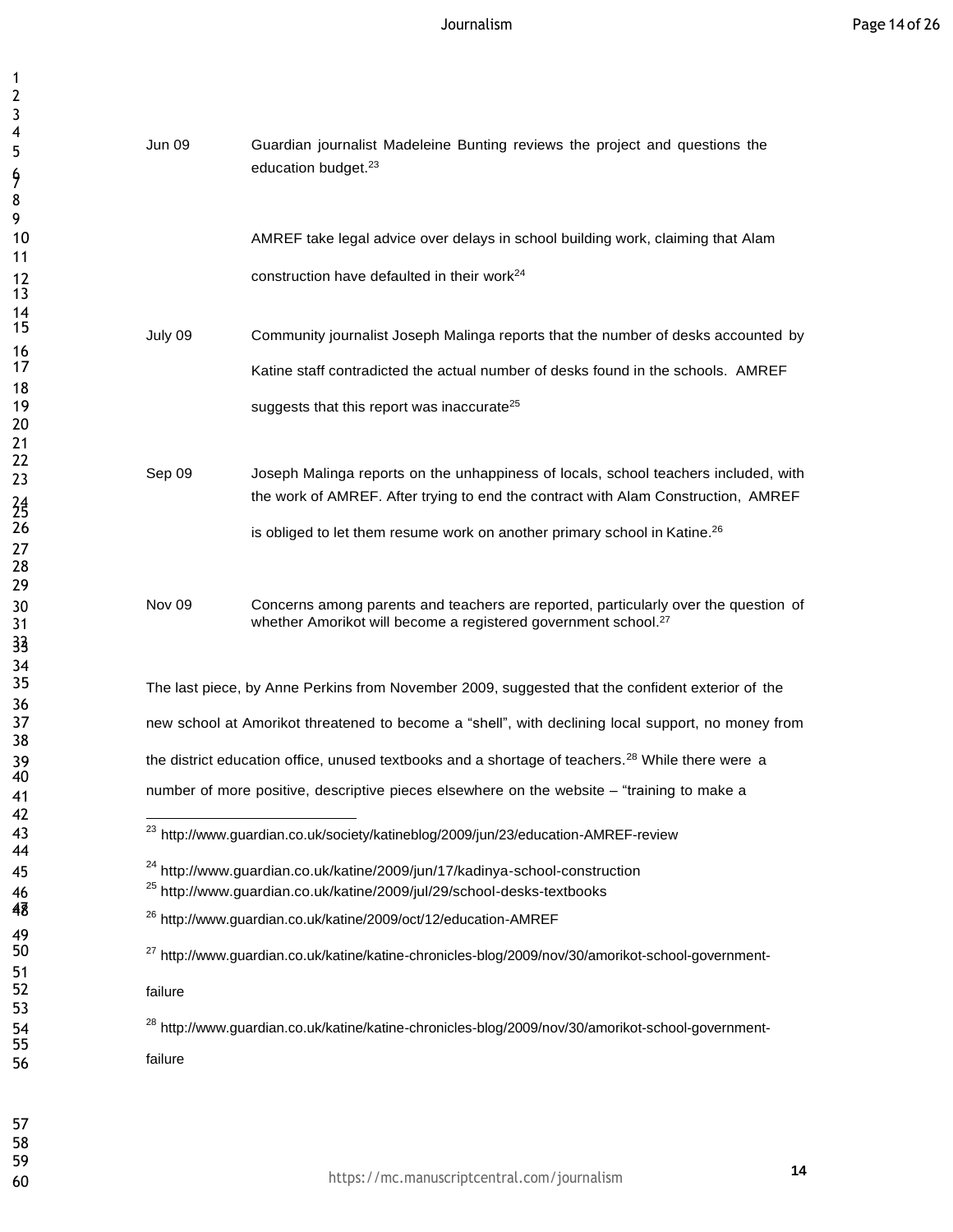| 4<br>5         | Jun 09                                                                                                        | Guardian journalist Madeleine Bunting reviews the project and questions the<br>education budget. <sup>23</sup>                                                           |  |
|----------------|---------------------------------------------------------------------------------------------------------------|--------------------------------------------------------------------------------------------------------------------------------------------------------------------------|--|
| 9<br>8         |                                                                                                               |                                                                                                                                                                          |  |
| 9<br>10        |                                                                                                               | AMREF take legal advice over delays in school building work, claiming that Alam                                                                                          |  |
| 11             |                                                                                                               |                                                                                                                                                                          |  |
| 12<br>13       |                                                                                                               | construction have defaulted in their work <sup>24</sup>                                                                                                                  |  |
| 14<br>15       | July 09                                                                                                       | Community journalist Joseph Malinga reports that the number of desks accounted by                                                                                        |  |
| 16<br>17       |                                                                                                               | Katine staff contradicted the actual number of desks found in the schools. AMREF                                                                                         |  |
| 18<br>19       |                                                                                                               | suggests that this report was inaccurate <sup>25</sup>                                                                                                                   |  |
| 20             |                                                                                                               |                                                                                                                                                                          |  |
| 21<br>22       |                                                                                                               |                                                                                                                                                                          |  |
| 23             | Sep 09                                                                                                        | Joseph Malinga reports on the unhappiness of locals, school teachers included, with<br>the work of AMREF. After trying to end the contract with Alam Construction, AMREF |  |
| 24<br>25<br>26 |                                                                                                               | is obliged to let them resume work on another primary school in Katine. <sup>26</sup>                                                                                    |  |
| 27<br>28       |                                                                                                               |                                                                                                                                                                          |  |
| 29             | Nov <sub>09</sub>                                                                                             | Concerns among parents and teachers are reported, particularly over the question of                                                                                      |  |
| 30<br>31       |                                                                                                               | whether Amorikot will become a registered government school. <sup>27</sup>                                                                                               |  |
| 33<br>34       |                                                                                                               |                                                                                                                                                                          |  |
| 35<br>36       | The last piece, by Anne Perkins from November 2009, suggested that the confident exterior of the              |                                                                                                                                                                          |  |
| 37<br>38       | new school at Amorikot threatened to become a "shell", with declining local support, no money from            |                                                                                                                                                                          |  |
| 39             | the district education office, unused textbooks and a shortage of teachers. <sup>28</sup> While there were a  |                                                                                                                                                                          |  |
| 40<br>41       | number of more positive, descriptive pieces elsewhere on the website - "training to make a                    |                                                                                                                                                                          |  |
| 42<br>43       | <sup>23</sup> http://www.guardian.co.uk/society/katineblog/2009/jun/23/education-AMREF-review                 |                                                                                                                                                                          |  |
| 44<br>45       | <sup>24</sup> http://www.guardian.co.uk/katine/2009/jun/17/kadinya-school-construction                        |                                                                                                                                                                          |  |
| 46<br>48       | <sup>25</sup> http://www.guardian.co.uk/katine/2009/jul/29/school-desks-textbooks                             |                                                                                                                                                                          |  |
| 49<br>50       | <sup>26</sup> http://www.guardian.co.uk/katine/2009/oct/12/education-AMREF                                    |                                                                                                                                                                          |  |
| 51             | <sup>27</sup> http://www.guardian.co.uk/katine/katine-chronicles-blog/2009/nov/30/amorikot-school-government- |                                                                                                                                                                          |  |
| 52<br>53       | failure                                                                                                       |                                                                                                                                                                          |  |
| 54<br>55       | <sup>28</sup> http://www.guardian.co.uk/katine/katine-chronicles-blog/2009/nov/30/amorikot-school-government- |                                                                                                                                                                          |  |
| 56             | failure                                                                                                       |                                                                                                                                                                          |  |
|                |                                                                                                               |                                                                                                                                                                          |  |
| 57<br>58       |                                                                                                               |                                                                                                                                                                          |  |
|                |                                                                                                               |                                                                                                                                                                          |  |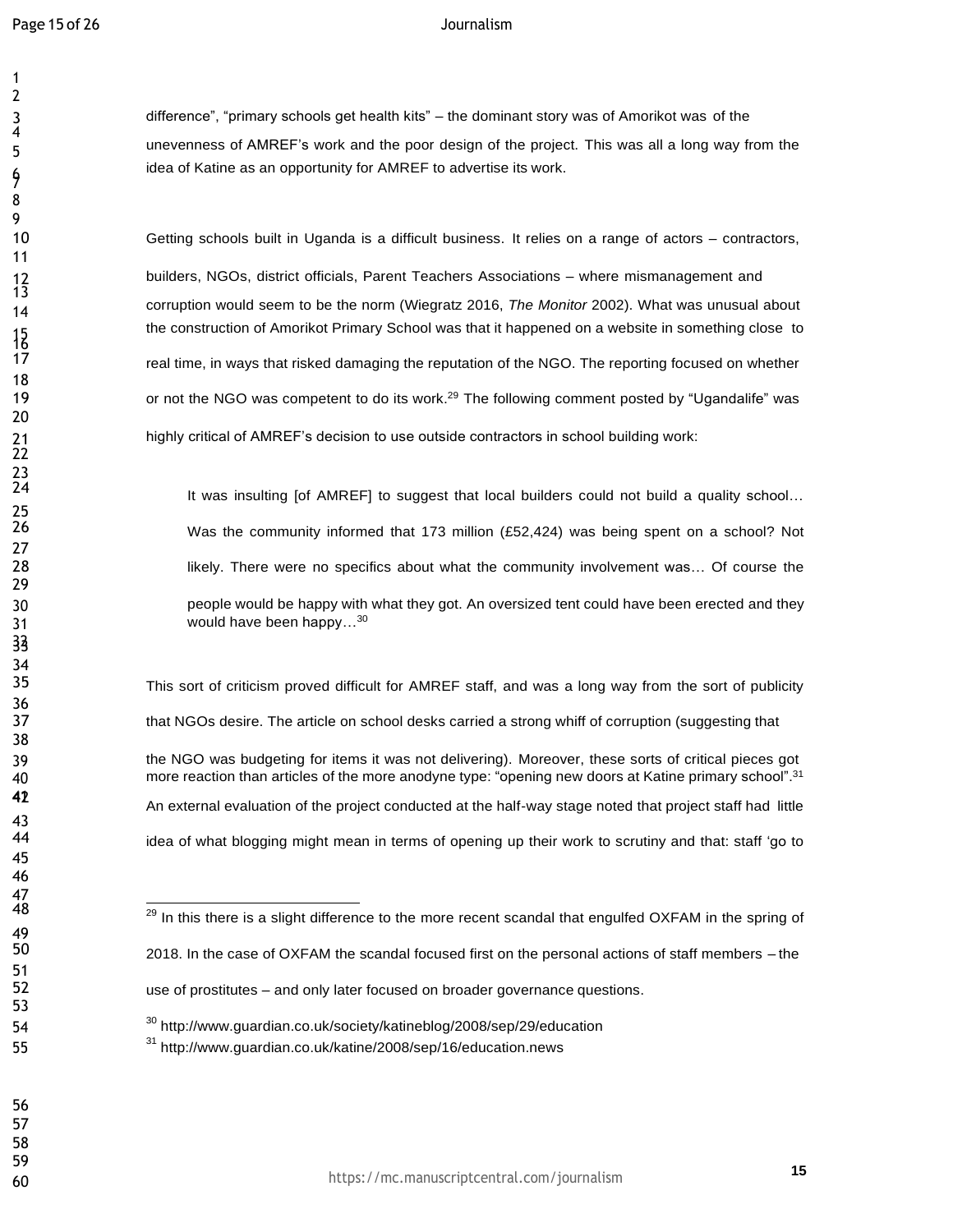7

 

<br> $13$ 

 23<br>24

 difference", "primary schools get health kits" – the dominant story was of Amorikot was of the unevenness of AMREF's work and the poor design of the project. This was all a long way from the idea of Katine as an opportunity for AMREF to advertise its work.

Getting schools built in Uganda is a difficult business. It relies on a range of actors – contractors,

 builders, NGOs, district officials, Parent Teachers Associations – where mismanagement and corruption would seem to be the norm (Wiegratz 2016, *The Monitor* 2002). What was unusual about the construction of Amorikot Primary School was that it happened on a website in something close to 17 real time, in ways that risked damaging the reputation of the NGO. The reporting focused on whether 19 or not the NGO was competent to do its work.<sup>29</sup> The following comment posted by "Ugandalife" was highly critical of AMREF's decision to use outside contractors in school building work:

It was insulting [of AMREF] to suggest that local builders could not build a quality school... Was the community informed that 173 million (£52,424) was being spent on a school? Not **Likely.** There were no specifics about what the community involvement was... Of course the people would be happy with what they got. An oversized tent could have been erected and they 31 would have been happy...<sup>30</sup>

 This sort of criticism proved difficult for AMREF staff, and was a long way from the sort of publicity that NGOs desire. The article on school desks carried a strong whiff of corruption (suggesting that the NGO was budgeting for items it was not delivering). Moreover, these sorts of critical pieces got 40 more reaction than articles of the more anodyne type: "opening new doors at Katine primary school".<sup>31</sup> An external evaluation of the project conducted at the half-way stage noted that project staff had little idea of what blogging might mean in terms of opening up their work to scrutiny and that: staff 'go to

- 54 <sup>30</sup> <http://www.guardian.co.uk/society/katineblog/2008/sep/29/education>
- <sup>31</sup> <http://www.guardian.co.uk/katine/2008/sep/16/education.news>

33

43<br>44

 

<sup>&</sup>lt;sup>29</sup> In this there is a slight difference to the more recent scandal that engulfed OXFAM in the spring of 2018. In the case of OXFAM the scandal focused first on the personal actions of staff members – the use of prostitutes – and only later focused on broader governance questions.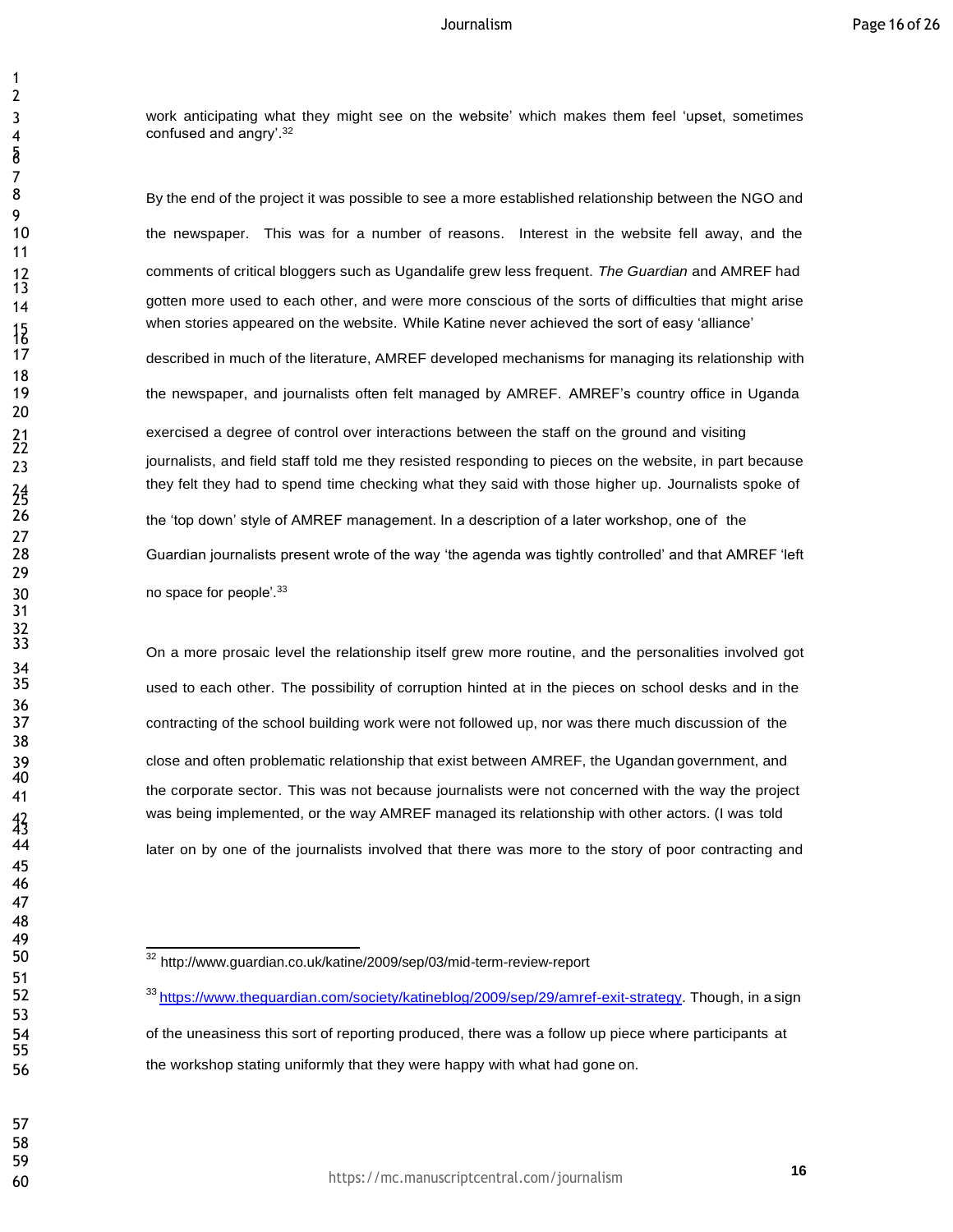work anticipating what they might see on the website' which makes them feel 'upset, sometimes 4 confused and angry<sup>'.32</sup>

8 By the end of the project it was possible to see a more established relationship between the NGO and the newspaper. This was for a number of reasons. Interest in the website fell away, and the comments of critical bloggers such as Ugandalife grew less frequent. *The Guardian* and AMREF had 14 gotten more used to each other, and were more conscious of the sorts of difficulties that might arise when stories appeared on the website. While Katine never achieved the sort of easy 'alliance'

 described in much of the literature, AMREF developed mechanisms for managing its relationship with the newspaper, and journalists often felt managed by AMREF. AMREF's country office in Uganda exercised a degree of control over interactions between the staff on the ground and visiting

they felt they had to spend time checking what they said with those higher up. Journalists spoke of 26 the 'top down' style of AMREF management. In a description of a later workshop, one of the Guardian journalists present wrote of the way 'the agenda was tightly controlled' and that AMREF 'left 30 no space for people'.<sup>33</sup>

 On <sup>a</sup> more prosaic level the relationship itself grew more routine, and the personalities involved got used to each other. The possibility of corruption hinted at in the pieces on school desks and in the contracting of the school building work were not followed up, nor was there much discussion of the close and often problematic relationship that exist between AMREF, the Ugandan government, and the corporate sector. This was not because journalists were not concerned with the way the project was being implemented, or the way AMREF managed its relationship with other actors. (I was told 44 later on by one of the journalists involved that there was more to the story of poor contracting and

<sup>32</sup> <http://www.guardian.co.uk/katine/2009/sep/03/mid-term-review-report>

<sup>52 33</sup> https:/[/www.theguardian.com/society/katineblog/2009/sep/29/amref-exit-strategy.](http://www.theguardian.com/society/katineblog/2009/sep/29/amref-exit-strategy) Though, in a sign of the uneasiness this sort of reporting produced, there was a follow up piece where participants at the workshop stating uniformly that they were happy with what had gone on.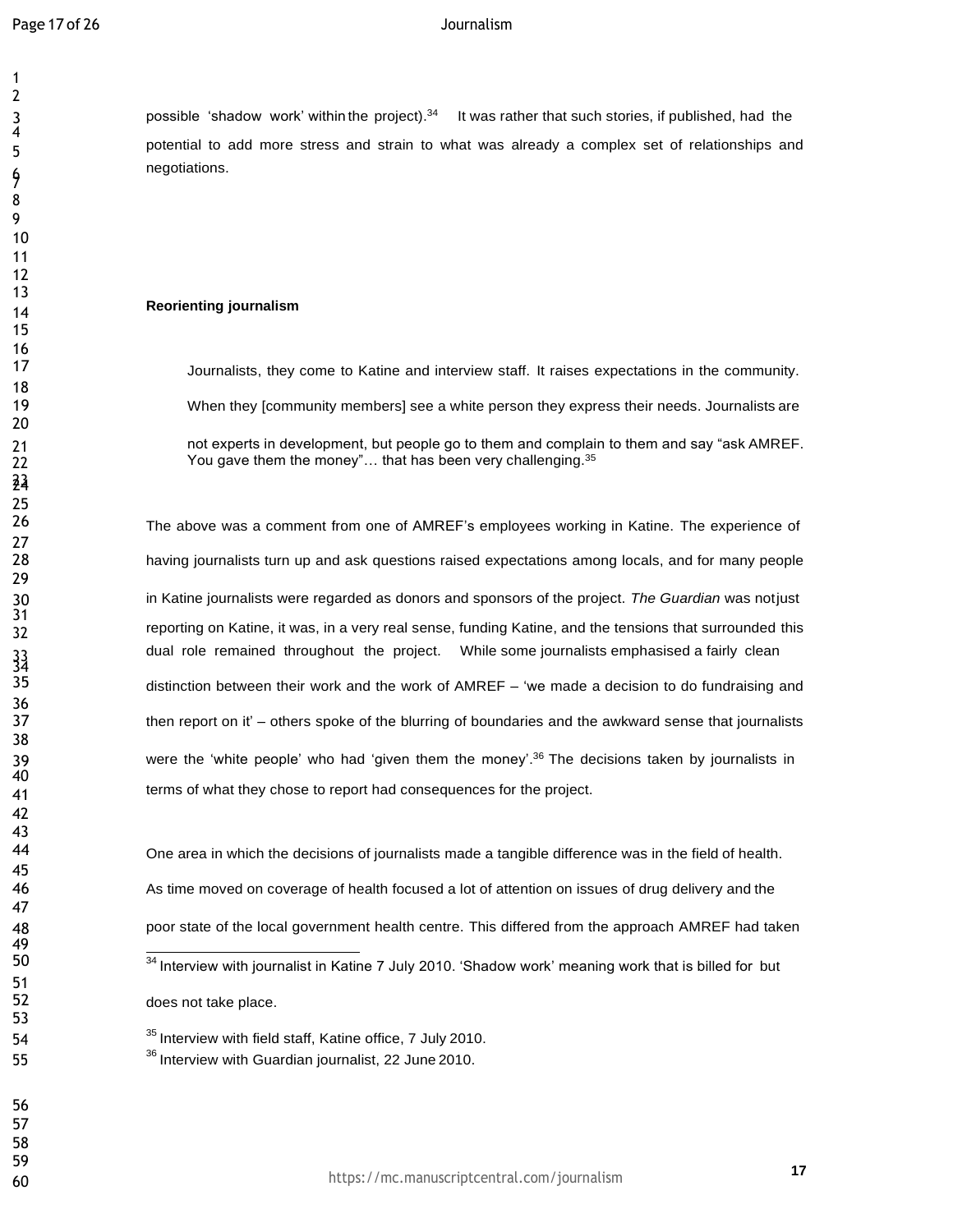7

 

24

 $\frac{33}{35}$ 

 

3 possible 'shadow work' within the project).<sup>34</sup> It was rather that such stories, if published, had the potential to add more stress and strain to what was already a complex set of relationships and negotiations.

# **Reorienting journalism**

 Journalists, they come to Katine and interview staff. It raises expectations in the community. When they [community members] see a white person they express their needs. Journalists are not experts in development, but people go to them and complain to them and say "ask AMREF. 22 You gave them the money"... that has been very challenging.<sup>35</sup>

 The above was a comment from one of AMREF's employees working in Katine. The experience of having journalists turn up and ask questions raised expectations among locals, and for many people in Katine journalists were regarded as donors and sponsors of the project. *The Guardian* was notjust reporting on Katine, it was, in a very real sense, funding Katine, and the tensions that surrounded this dual role remained throughout the project. While some journalists emphasised a fairly clean distinction between their work and the work of AMREF – 'we made a decision to do fundraising and then report on it' – others spoke of the blurring of boundaries and the awkward sense that journalists were the 'white people' who had 'given them the money'.<sup>36</sup> The decisions taken by journalists in terms of what they chose to report had consequences for the project.

 One area in which the decisions of journalists made a tangible difference was in the field of health. As time moved on coverage of health focused a lot of attention on issues of drug delivery and the poor state of the local government health centre. This differed from the approach AMREF had taken 50 34 Interview with journalist in Katine 7 July 2010. 'Shadow work' meaning work that is billed for but does not take place.

54 <sup>35</sup> Interview with field staff, Katine office, 7 July 2010. 55 <sup>36</sup>Interview with Guardian journalist, 22 June 2010.

**<sup>17</sup>** https://mc.manuscriptcentral.com/journalism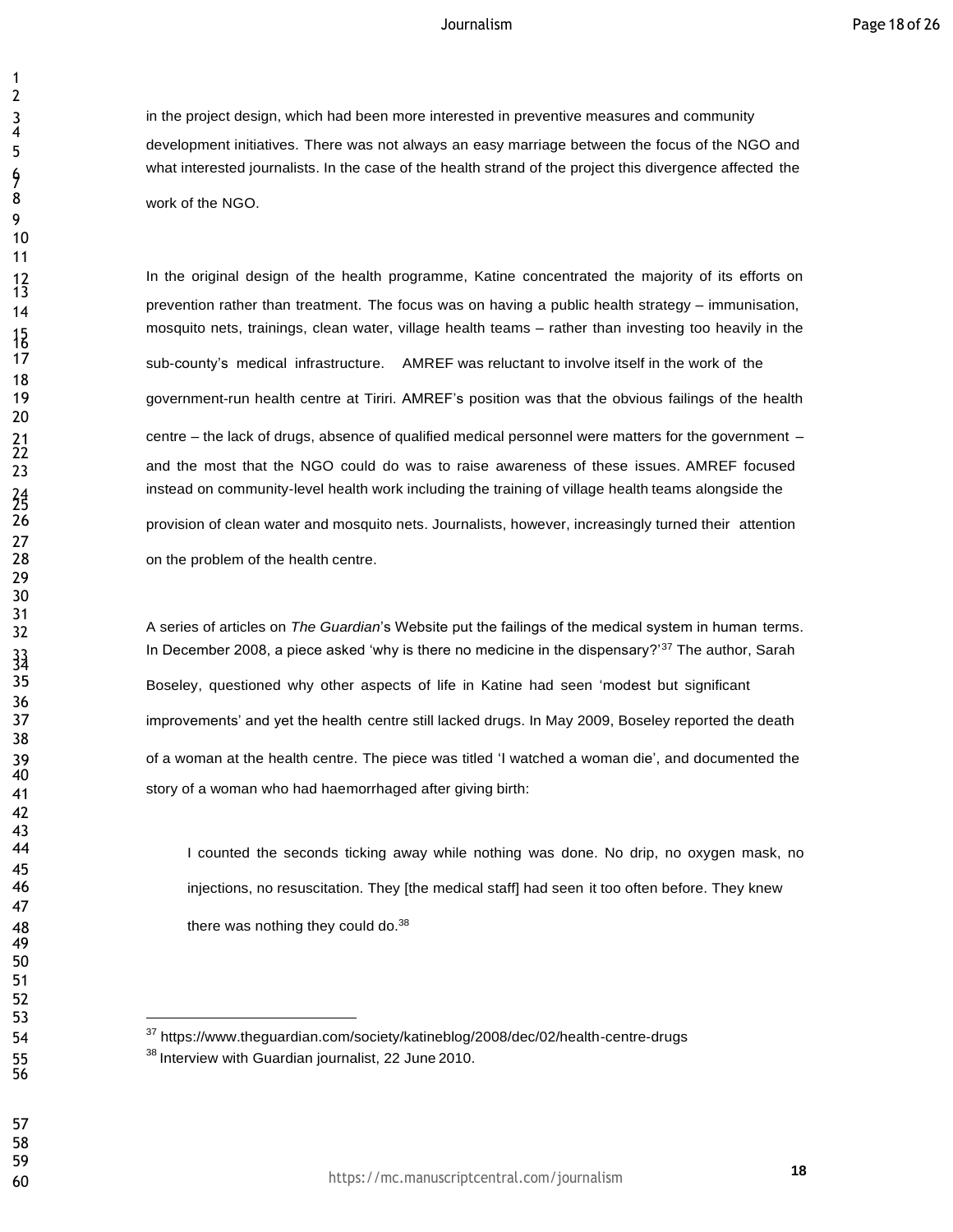in the project design, which had been more interested in preventive measures and community development initiatives. There was not always an easy marriage between the focus of the NGO and what interested journalists. In the case of the health strand of the project this divergence affected the work of the NGO.

In the original design of the health programme, Katine concentrated the majority of its efforts on prevention rather than treatment. The focus was on having <sup>a</sup> public health strategy – immunisation, mosquito nets, trainings, clean water, village health teams – rather than investing too heavily in the sub-county's medical infrastructure. AMREF was reluctant to involve itself in the work of the government-run health centre at Tiriri. AMREF's position was that the obvious failings of the health centre – the lack of drugs, absence of qualified medical personnel were matters for the government – and the most that the NGO could do was to raise awareness of these issues. AMREF focused instead on community-level health work including the training of village health teams alongside the provision of clean water and mosquito nets. Journalists, however, increasingly turned their attention on the problem of the health centre.

 A series of articles on *The Guardian*'s Website put the failings of the medical system in human terms. In December 2008, a piece asked 'why is there no medicine in the dispensary?'<sup>37</sup> The author, Sarah Boseley, questioned why other aspects of life in Katine had seen 'modest but significant improvements' and yet the health centre still lacked drugs. In May 2009, Boseley reported the death of a woman at the health centre. The piece was titled 'I watched a woman die', and documented the story of a woman who had haemorrhaged after giving birth:

44 I counted the seconds ticking away while nothing was done. No drip, no oxygen mask, no injections, no resuscitation. They [the medical staff] had seen it too often before. They knew 48 there was nothing they could do.<sup>38</sup>

 

 

7

 

<br> $13$ 

 $\frac{15}{17}$ 

 $^{24}_{25}$ 

 

 

 <sup>37</sup> https:[//www.theguardian.com/society/katineblog/2008/dec/02/health-centre-drugs](http://www.theguardian.com/society/katineblog/2008/dec/02/health-centre-drugs) 55 <sup>38</sup> Interview with Guardian journalist, 22 June 2010.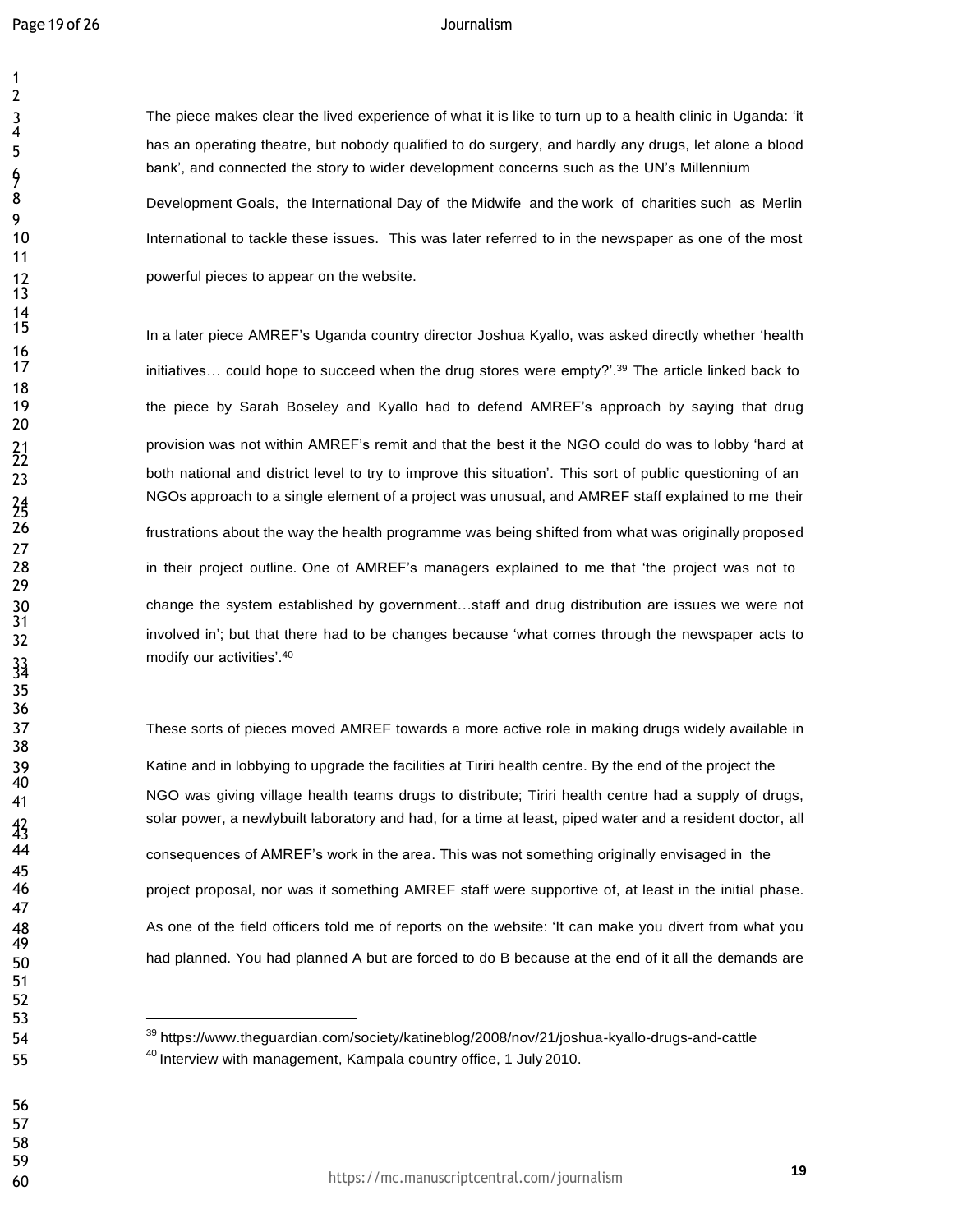The piece makes clear the lived experience of what it is like to turn up to a health clinic in Uganda: 'it has an operating theatre, but nobody qualified to do surgery, and hardly any drugs, let alone a blood bank', and connected the story to wider development concerns such as the UN's Millennium 8 Development Goals, the International Day of the Midwife and the work of charities such as Merlin International to tackle these issues. This was later referred to in the newspaper as one of the most **powerful pieces to appear on the website.** 

In a later piece AMREF's Uganda country director Joshua Kyallo, was asked directly whether 'health initiatives... could hope to succeed when the drug stores were empty?'.<sup>39</sup> The article linked back to the piece by Sarah Boseley and Kyallo had to defend AMREF's approach by saying that drug provision was not within AMREF's remit and that the best it the NGO could do was to lobby 'hard at 23 both national and district level to try to improve this situation'. This sort of public questioning of an NGOs approach to a single element of a project was unusual, and AMREF staff explained to me their frustrations about the way the health programme was being shifted from what was originally proposed in their project outline. One of AMREF's managers explained to me that 'the project was not to change the system established by government…staff and drug distribution are issues we were not involved in'; but that there had to be changes because 'what comes through the newspaper acts to modify our activities'.<sup>40</sup>

 These sorts of pieces moved AMREF towards a more active role in making drugs widely available in Katine and in lobbying to upgrade the facilities at Tiriri health centre. By the end of the project the NGO was giving village health teams drugs to distribute; Tiriri health centre had a supply of drugs, solar power, a newlybuilt laboratory and had, for a time at least, piped water and a resident doctor, all consequences of AMREF's work in the area. This was not something originally envisaged in the project proposal, nor was it something AMREF staff were supportive of, at least in the initial phase. 48 As one of the field officers told me of reports on the website: 'It can make you divert from what you 50 had planned. You had planned A but are forced to do B because at the end of it all the demands are

 <sup>39</sup> https:[//www.theguardian.com/society/katineblog/2008/nov/21/joshua-kyallo-drugs-and-cattle](http://www.theguardian.com/society/katineblog/2008/nov/21/joshua-kyallo-drugs-and-cattle) 55 <sup>40</sup> Interview with management, Kampala country office, 1 July 2010.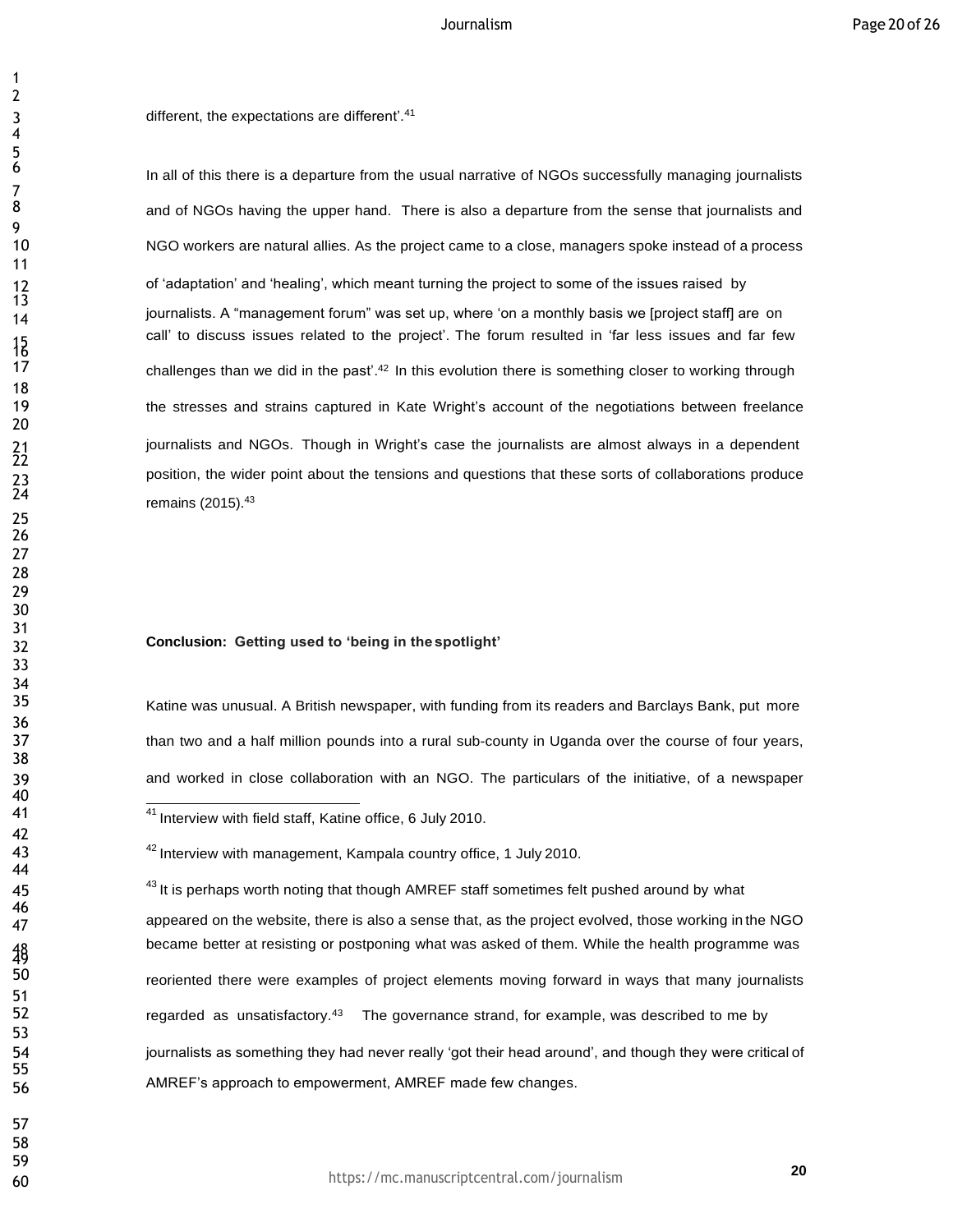3 different, the expectations are different'.<sup>41</sup>

In all of this there is a departure from the usual narrative of NGOs successfully managing journalists and of NGOs having the upper hand. There is also a departure from the sense that journalists and NGO workers are natural allies. As the project came to a close, managers spoke instead of a process 12 of 'adaptation' and 'healing', which meant turning the project to some of the issues raised by 14 journalists. A "management forum" was set up, where 'on a monthly basis we [project staff] are on call' to discuss issues related to the project'. The forum resulted in 'far less issues and far few challenges than we did in the past'. In this evolution there is something closer to working through the stresses and strains captured in Kate Wright's account of the negotiations between freelance journalists and NGOs. Though in Wright's case the journalists are almost always in a dependent 23 position, the wider point about the tensions and questions that these sorts of collaborations produce<br>24 remains (2015).<sup>43</sup>

# **Getting used to 'being in the spotlight' Conclusion:**

 Katine was unusual. A British newspaper, with funding from its readers and Barclays Bank, put more than two and a half million pounds into a rural sub-county in Uganda over the course of four years, and worked in close collaboration with an NGO. The particulars of the initiative, of a newspaper

45  $43$  It is perhaps worth noting that though AMREF staff sometimes felt pushed around by what appeared on the website, there is also a sense that, as the project evolved, those working in the NGO became better at resisting or postponing what was asked of them. While the health programme was reoriented there were examples of project elements moving forward in ways that many journalists 52 regarded as unsatisfactory.<sup>43</sup> The governance strand, for example, was described to me by journalists as something they had never really 'got their head around', and though they were critical of AMREF's approach to empowerment, AMREF made few changes.

**41** At the rview with field staff, Katine office, 6 July 2010.

**42** Interview with management, Kampala country office, 1 July 2010.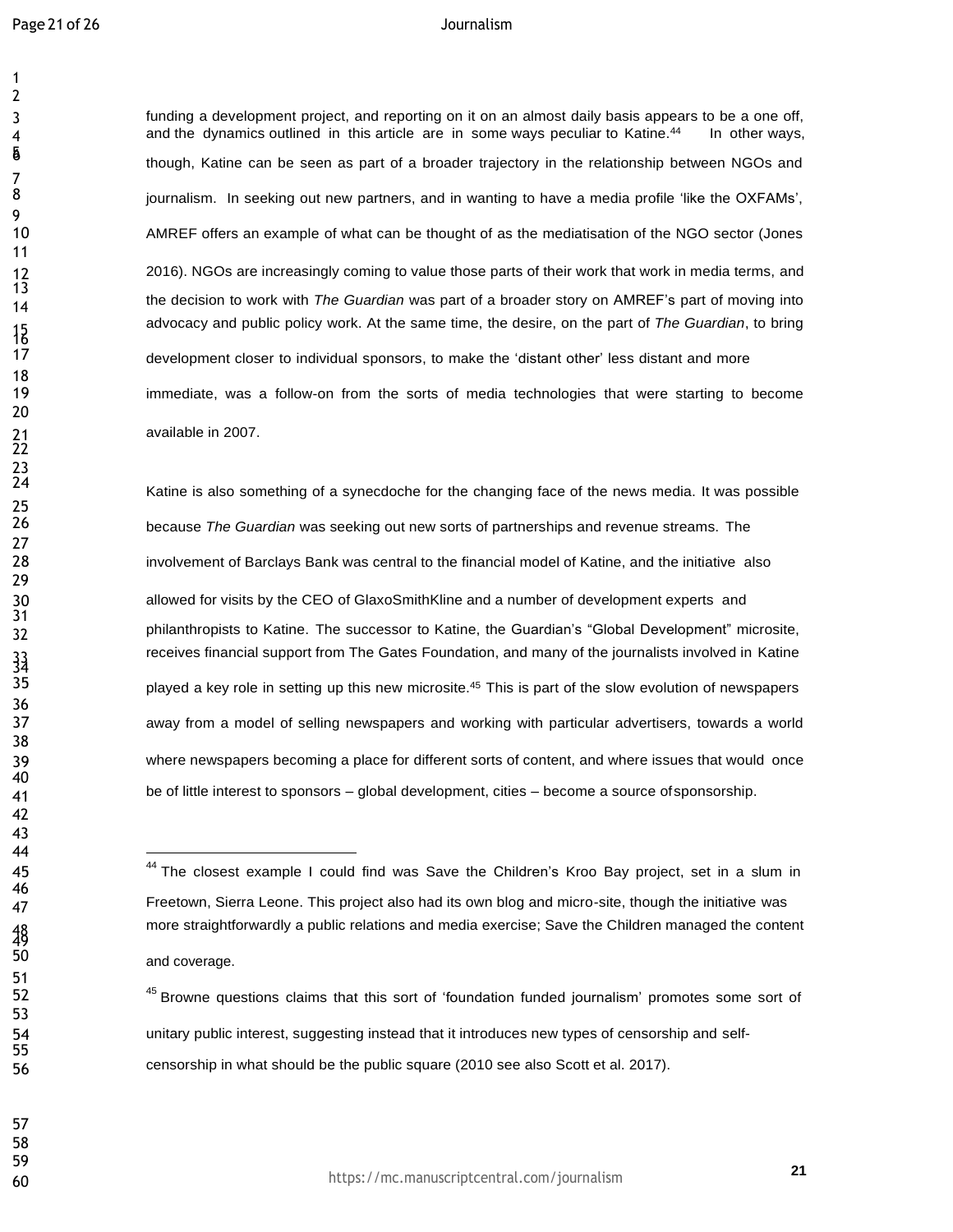funding a development project, and reporting on it on an almost daily basis appears to be a one off, 4 and the dynamics outlined in this article are in some ways peculiar to Katine.<sup>44</sup> In other ways, though, Katine can be seen as part of a broader trajectory in the relationship between NGOs and journalism. In seeking out new partners, and in wanting to have a media profile 'like the OXFAMs', AMREF offers an example of what can be thought of as the mediatisation of the NGO sector (Jones 2016). NGOs are increasingly coming to value those parts of their work that work in media terms, and the decision to work with *The Guardian* was part of <sup>a</sup> broader story on AMREF's part of moving into advocacy and public policy work. At the same time, the desire, on the part of *The Guardian*, to bring development closer to individual sponsors, to make the 'distant other' less distant and more immediate, was a follow-on from the sorts of media technologies that were starting to become

Katine is also something of a synecdoche for the changing face of the news media. It was possible because *The Guardian* was seeking out new sorts of partnerships and revenue streams. The involvement of Barclays Bank was central to the financial model of Katine, and the initiative also allowed for visits by the CEO of GlaxoSmithKline and a number of development experts and philanthropists to Katine. The successor to Katine, the Guardian's "Global Development" microsite, receives financial support from The Gates Foundation, and many of the journalists involved in Katine played a key role in setting up this new microsite.<sup>45</sup> This is part of the slow evolution of newspapers away from a model of selling newspapers and working with particular advertisers, towards a world where newspapers becoming a place for different sorts of content, and where issues that would once be of little interest to sponsors – global development, cities – become a source ofsponsorship.

52 <sup>45</sup> Browne questions claims that this sort of 'foundation funded journalism' promotes some sort of unitary public interest, suggesting instead that it introduces new types of censorship and self-censorship in what should be the public square (2010 see also Scott et al. 2017).

<sup>45 45 44</sup> The closest example I could find was Save the Children's Kroo Bay project, set in a slum in Freetown, Sierra Leone. This project also had its own blog and micro-site, though the initiative was more straightforwardly a public relations and media exercise; Save the Children managed the content and coverage.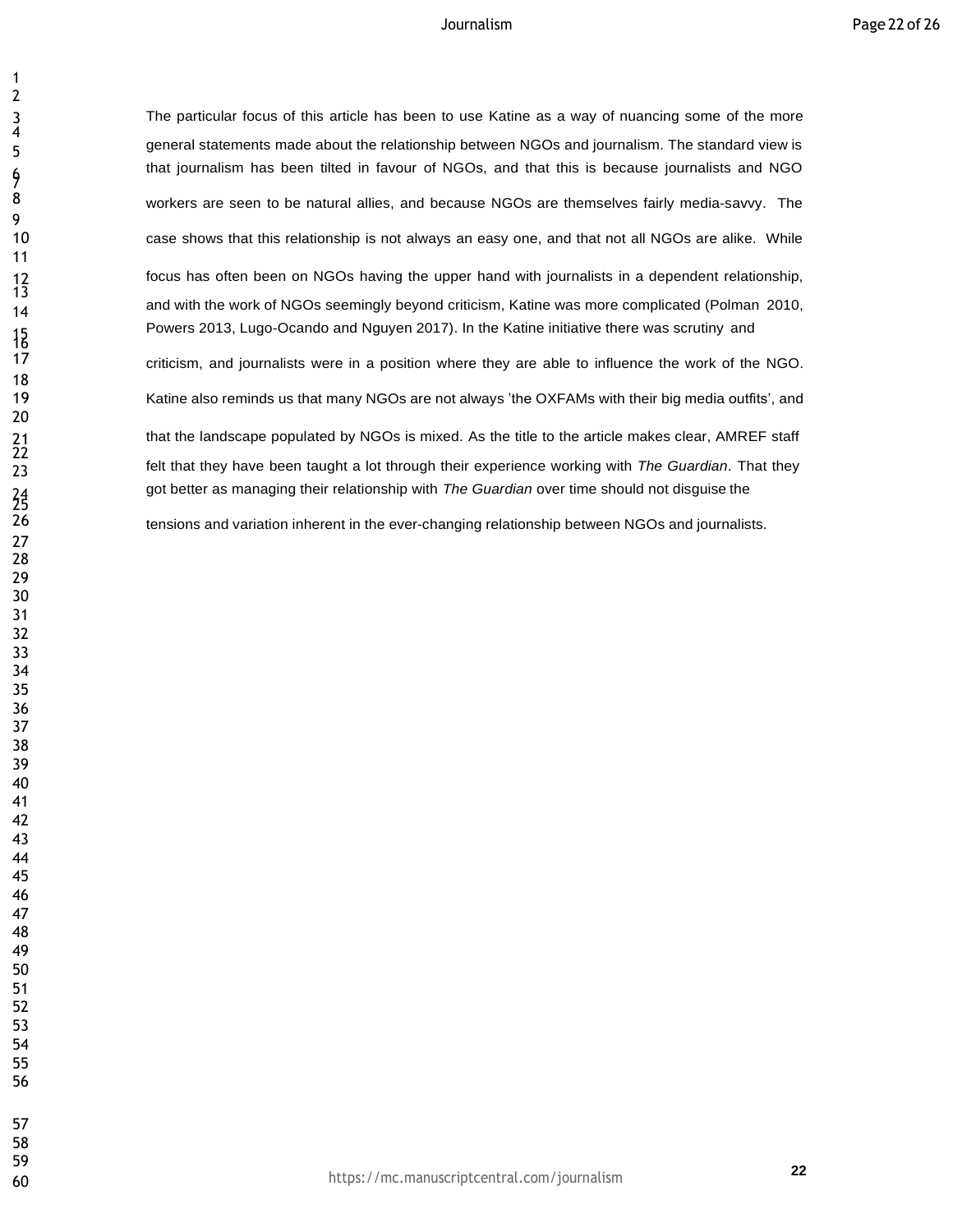The particular focus of this article has been to use Katine as a way of nuancing some of the more general statements made about the relationship between NGOs and journalism. The standard view is that journalism has been tilted in favour of NGOs, and that this is because journalists and NGO workers are seen to be natural allies, and because NGOs are themselves fairly media-savvy. The case shows that this relationship is not always an easy one, and that not all NGOs are alike. While focus has often been on NGOs having the upper hand with journalists in a dependent relationship, 14 and with the work of NGOs seemingly beyond criticism, Katine was more complicated (Polman 2010, Powers 2013, Lugo-Ocando and Nguyen 2017). In the Katine initiative there was scrutiny and criticism, and journalists were in a position where they are able to influence the work of the NGO. Katine also reminds us that many NGOs are not always 'the OXFAMs with their big media outfits', and that the landscape populated by NGOs is mixed. As the title to the article makes clear, AMREF staff felt that they have been taught a lot through their experience working with *The Guardian*. That they got better as managing their relationship with *The Guardian* over time should not disguise the

tensions and variation inherent in the ever-changing relationship between NGOs and journalists.

 

 

7

<br> $13$ 

 $\frac{15}{17}$ 

 $\frac{21}{22}$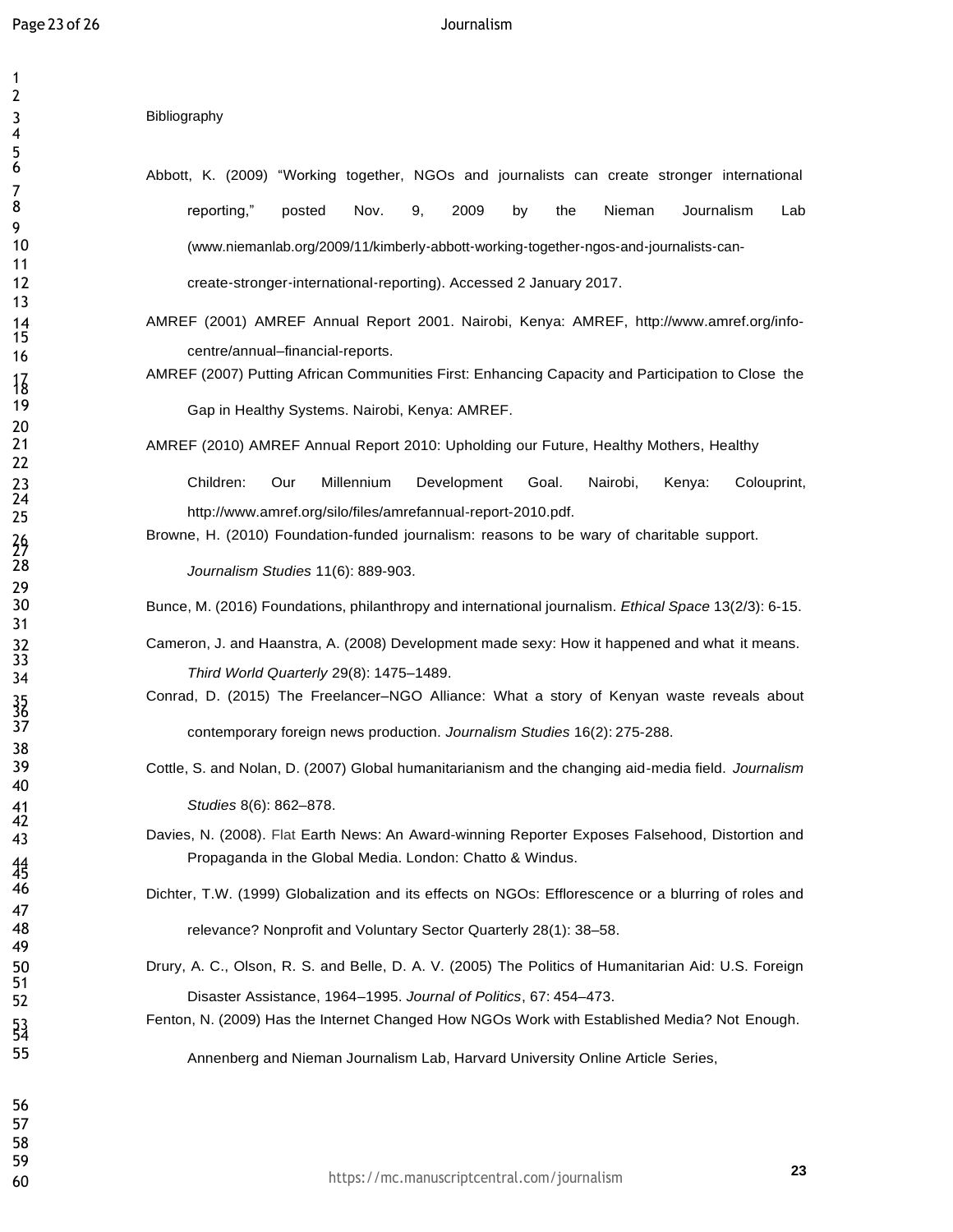## **Bibliography**

- Abbott, K. (2009) "Working together, NGOs and journalists can create stronger international **8 1 reporting,"** posted Nov. 9, 2009 by the Nieman Journalism Lab [\(www.niemanlab.org/2009/11/kimberly](http://www.niemanlab.org/2009/11/kimberly)‐abbott‐working‐together‐ngos‐and‐journalists‐can- create‐stronger‐international‐reporting). Accessed 2 January 2017.
	- AMREF (2001) AMREF Annual Report 2001. Nairobi, Kenya: AMREF, [http://www.amref.org/info](http://www.amref.org/info-)centre/annual–financial-reports.
	- AMREF (2007) Putting African Communities First: Enhancing Capacity and Participation to Close the Gap in Healthy Systems. Nairobi, Kenya: AMREF.

AMREF (2010) AMREF Annual Report 2010: Upholding our Future, Healthy Mothers, Healthy

 Children: Our Millennium Development Goal. Nairobi, Kenya: Colouprint, [http://www.amref.org/silo/files/amrefannual-report-2010.pdf.](http://www.amref.org/silo/files/amrefannual-report-2010.pdf)

Browne, H. (2010) Foundation-funded journalism: reasons to be wary of charitable support.

*Journalism Studies* 11(6): 889-903.

Bunce, M. (2016) Foundations, philanthropy and international journalism. *Ethical Space* 13(2/3): 6-15.

- Cameron, J. and Haanstra, A. (2008) Development made sexy: How it happened and what it means. *Third World Quarterly* 29(8): 1475–1489.
- Conrad, D. (2015) The Freelancer-NGO Alliance: What a story of Kenyan waste reveals about contemporary foreign news production. *Journalism Studies* 16(2): 275-288.
- Cottle, S. and Nolan, D. (2007) Global humanitarianism and the changing aid-media field. *Journalism Studies* 8(6): 862–878.
- Davies, N. (2008). Flat Earth News: An Award-winning Reporter Exposes Falsehood, Distortion and Propaganda in the Global Media. London: Chatto & Windus.
- Dichter, T.W. (1999) Globalization and its effects on NGOs: Efflorescence or a blurring of roles and relevance? Nonprofit and Voluntary Sector Quarterly 28(1): 38-58.
- Drury, A. C., Olson, R. S. and Belle, D. A. V. (2005) The Politics of Humanitarian Aid: U.S. Foreign Disaster Assistance, 1964–1995. *Journal of Politics*, 67: 454–473.
- Fenton, N. (2009) Has the Internet Changed How NGOs Work with Established Media? Not Enough.

Annenberg and Nieman Journalism Lab, Harvard University Online Article Series,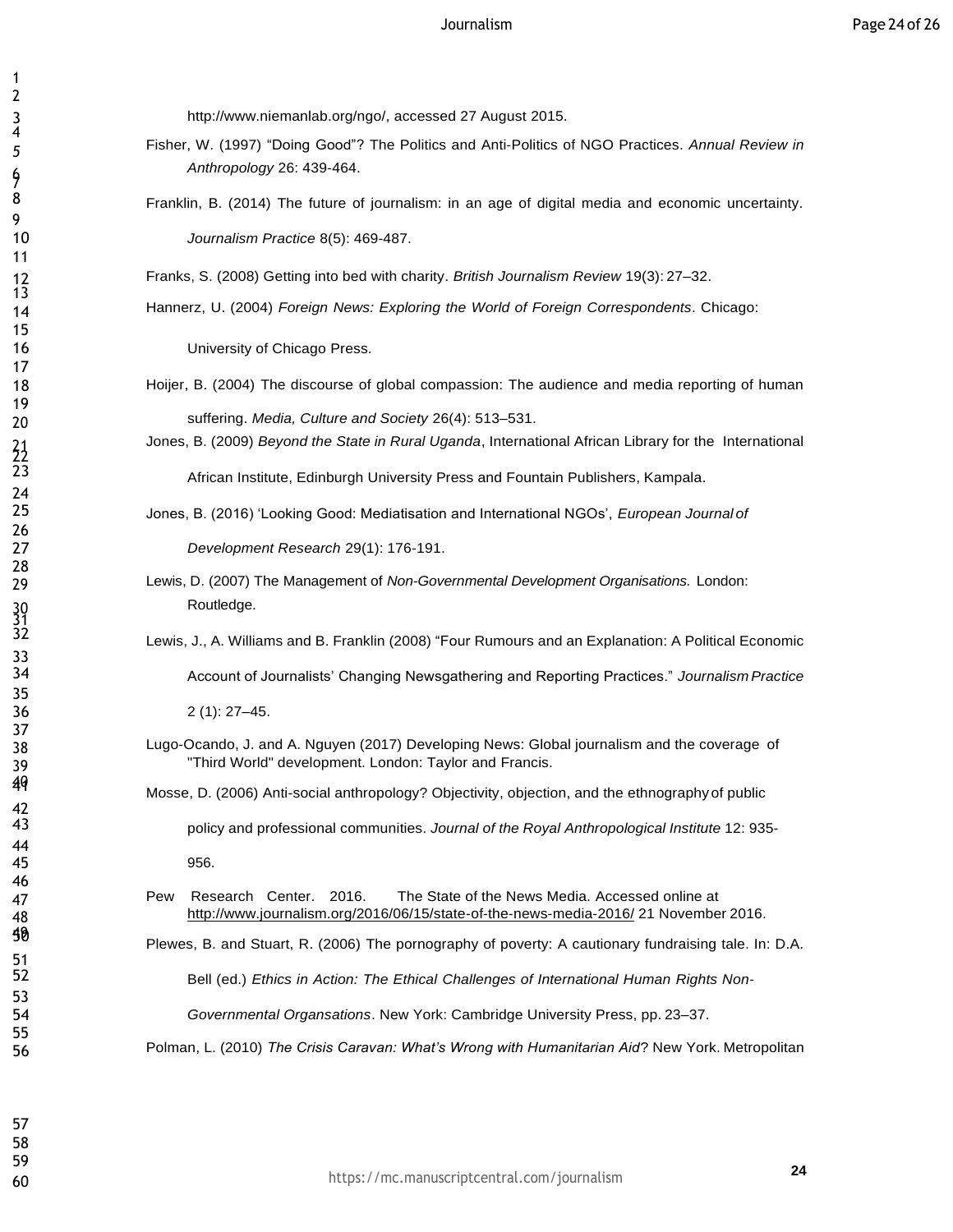[http://www.niemanlab.org/ngo/, a](http://www.niemanlab.org/ngo/)ccessed 27 August 2015.

- Fisher, W. (1997) "Doing Good"? The Politics and Anti-Politics of NGO Practices. *Annual Review in Anthropology* 26: 439-464.
- 8 Franklin, B. (2014) The future of journalism: in an age of digital media and economic uncertainty. *Journalism Practice* 8(5): 469-487.

Franks, S. (2008) Getting into bed with charity. *British Journalism Review* 19(3): 27–32.

Hannerz, U. (2004) *Foreign News: Exploring the World of Foreign Correspondents*. Chicago:

**University of Chicago Press.** 

- Hoijer, B. (2004) The discourse of global compassion: The audience and media reporting of human suffering. *Media, Culture and Society* 26(4): 513–531.
	- Jones, B. (2009) *Beyond the State in Rural Uganda*, International African Library for the International African Institute, Edinburgh University Press and Fountain Publishers, Kampala.
- Jones, B. (2016) 'Looking Good: Mediatisation and International NGOs', *European Journal of*

*Development Research* 29(1): 176-191.

- Lewis, D. (2007) The Management of *Non-Governmental Development Organisations.* London: Routledge.
	- Lewis, J., A. Williams and B. Franklin (2008) "Four Rumours and an Explanation: A Political Economic

Account of Journalists' Changing Newsgathering and Reporting Practices." *Journalism Practice*

2 (1): 27–45.

- Lugo-Ocando, J. and A. Nguyen (2017) Developing News: Global journalism and the coverage of "Third World" development. London: Taylor and Francis.
	- Mosse, D. (2006) Anti-social anthropology? Objectivity, objection, and the ethnography of public

policy and professional communities. *Journal of the Royal Anthropological Institute* 12: 935-

956.

 Pew Research Center. 2016. The State of the News Media. Accessed online at <http://www.journalism.org/2016/06/15/state-of-the-news-media-2016/> 21 November 2016.

Plewes, B. and Stuart, R. (2006) The pornography of poverty: <sup>A</sup> cautionary fundraising tale. In: D.A.

Bell (ed.) *Ethics in Action: The Ethical Challenges of International Human Rights Non-*

*Governmental Organsations*. New York: Cambridge University Press, pp. 23–37.

Polman, L. (2010) *The Crisis Caravan: What's Wrong with Humanitarian Aid*? New York. Metropolitan

42<br>43

 

 

7

 $\frac{21}{23}$ 

30<br>31<br>32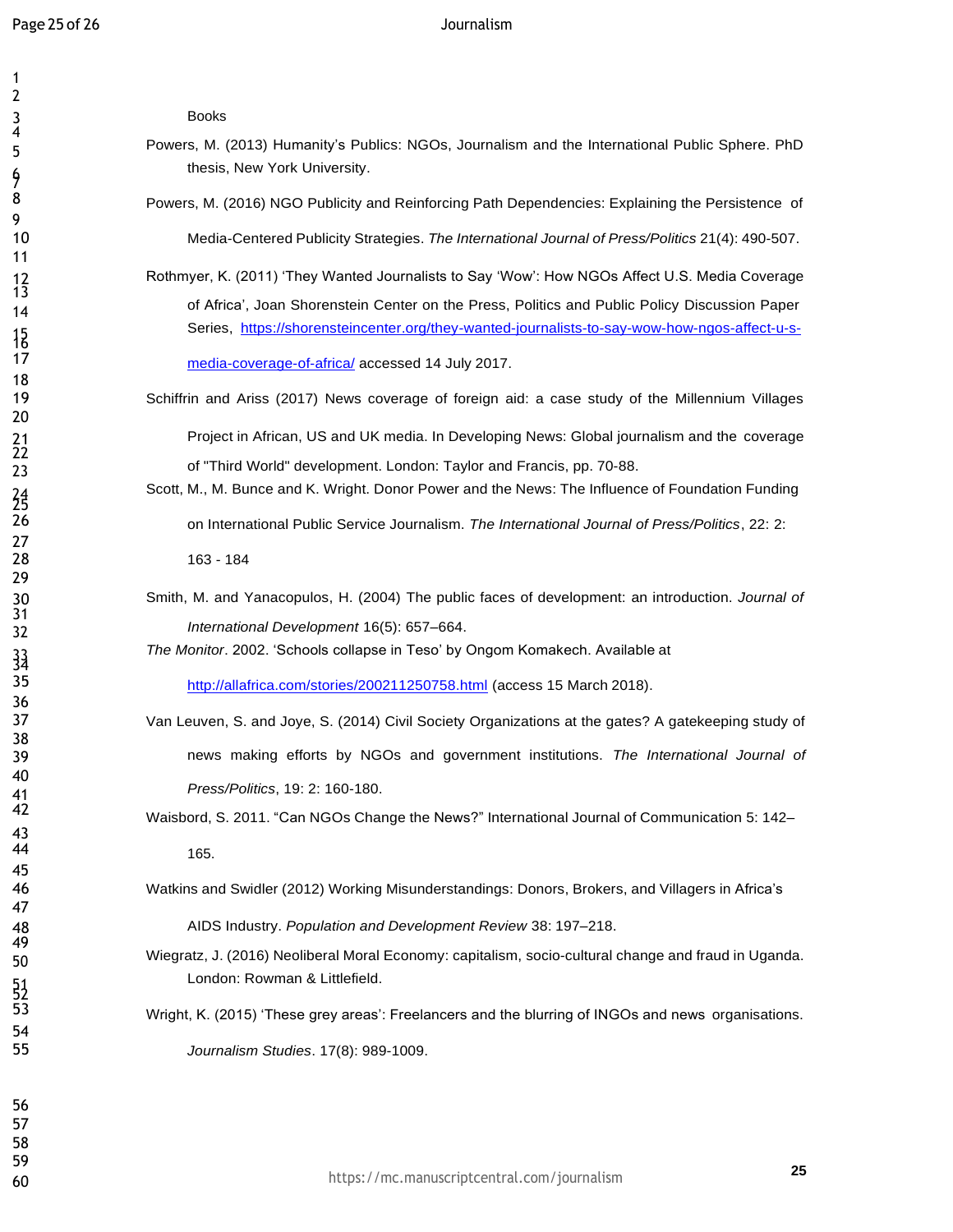Books

- Powers, M. (2013) Humanity's Publics: NGOs, Journalism and the International Public Sphere. PhD thesis, New York University.
- 8 Powers, M. (2016) NGO Publicity and Reinforcing Path Dependencies: Explaining the Persistence of

Media-Centered Publicity Strategies. *The International Journal of Press/Politics* 21(4): 490-507.

 Rothmyer, K. (2011) 'They Wanted Journalists to Say 'Wow': How NGOs Affect U.S. Media Coverage 14 of Africa', Joan Shorenstein Center on the Press, Politics and Public Policy Discussion Paper Series, https://shorensteincenter.org/they-wanted-journalists-to-say-wow-how-ngos-affect-u-s-

media-coverage-of-africa/ accessed 14 July 2017.

Schiffrin and Ariss (2017) News coverage of foreign aid: a case study of the Millennium Villages

**Project in African, US and UK media. In Developing News: Global journalism and the coverage** of "Third World" development. London: Taylor and Francis, pp. 70-88.

- Scott, M., M. Bunce and K. Wright. Donor Power and the News: The Influence of Foundation Funding on International Public Service Journalism. *The International Journal of Press/Politics*, 22: 2: 163 - 184
- Smith, M. and Yanacopulos, H. (2004) The public faces of development: an introduction. *Journal of International Development* 16(5): 657–664.

*The Monitor*. 2002. 'Schools collapse in Teso' by Ongom Komakech. Available at

<http://allafrica.com/stories/200211250758.html> (access 15 March 2018).

- Van Leuven, S. and Joye, S. (2014) Civil Society Organizations at the gates? A gatekeeping study of news making efforts by NGOs and government institutions. *The International Journal of Press/Politics*, 19: 2: 160-180.
- Waisbord, S. 2011. "Can NGOs Change the News?" International Journal of Communication 5: 142– 165.

Watkins and Swidler (2012) Working Misunderstandings: Donors, Brokers, and Villagers in Africa's

AIDS Industry. *Population and Development Review* 38: 197–218.

 Wiegratz, J. (2016) Neoliberal Moral Economy: capitalism, socio-cultural change and fraud in Uganda. London: Rowman & Littlefield.

Wright, K. (2015) 'These grey areas': Freelancers and the blurring of INGOs and news organisations. *Journalism Studies*. 17(8): 989-1009.